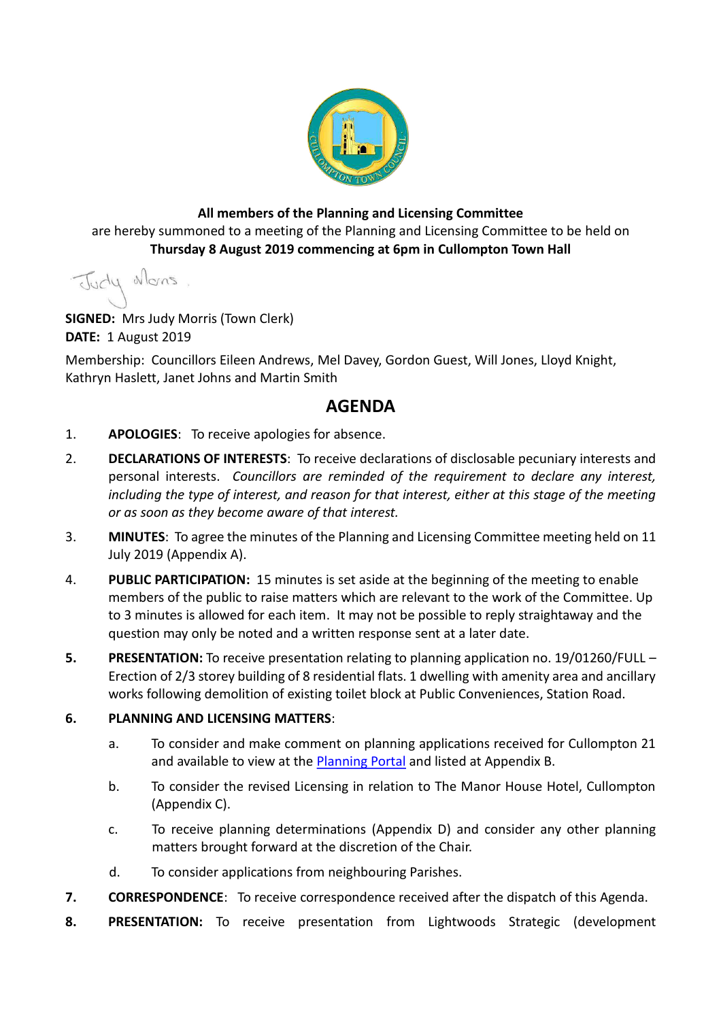

#### **All members of the Planning and Licensing Committee** are hereby summoned to a meeting of the Planning and Licensing Committee to be held on **Thursday 8 August 2019 commencing at 6pm in Cullompton Town Hall**

Judy Mons

**SIGNED:** Mrs Judy Morris (Town Clerk) **DATE:** 1 August 2019

Membership: Councillors Eileen Andrews, Mel Davey, Gordon Guest, Will Jones, Lloyd Knight, Kathryn Haslett, Janet Johns and Martin Smith

## **AGENDA**

- 1. **APOLOGIES**: To receive apologies for absence.
- 2. **DECLARATIONS OF INTERESTS**: To receive declarations of disclosable pecuniary interests and personal interests. *Councillors are reminded of the requirement to declare any interest,*  including the type of interest, and reason for that interest, either at this stage of the meeting *or as soon as they become aware of that interest.*
- 3. **MINUTES**: To agree the minutes of the Planning and Licensing Committee meeting held on 11 July 2019 (Appendix A).
- 4. **PUBLIC PARTICIPATION:** 15 minutes is set aside at the beginning of the meeting to enable members of the public to raise matters which are relevant to the work of the Committee. Up to 3 minutes is allowed for each item. It may not be possible to reply straightaway and the question may only be noted and a written response sent at a later date.
- **5. PRESENTATION:** To receive presentation relating to planning application no. 19/01260/FULL Erection of 2/3 storey building of 8 residential flats. 1 dwelling with amenity area and ancillary works following demolition of existing toilet block at Public Conveniences, Station Road.

#### **6. PLANNING AND LICENSING MATTERS**:

- a. To consider and make comment on planning applications received for Cullompton 21 and available to view at the [Planning Portal](https://planning.middevon.gov.uk/online-applications/search.do?action=simple&searchType=BuildingControl) and listed at Appendix B.
- b. To consider the revised Licensing in relation to The Manor House Hotel, Cullompton (Appendix C).
- c. To receive planning determinations (Appendix D) and consider any other planning matters brought forward at the discretion of the Chair.
- d. To consider applications from neighbouring Parishes.
- **7. CORRESPONDENCE**: To receive correspondence received after the dispatch of this Agenda.
- **8. PRESENTATION:** To receive presentation from Lightwoods Strategic (development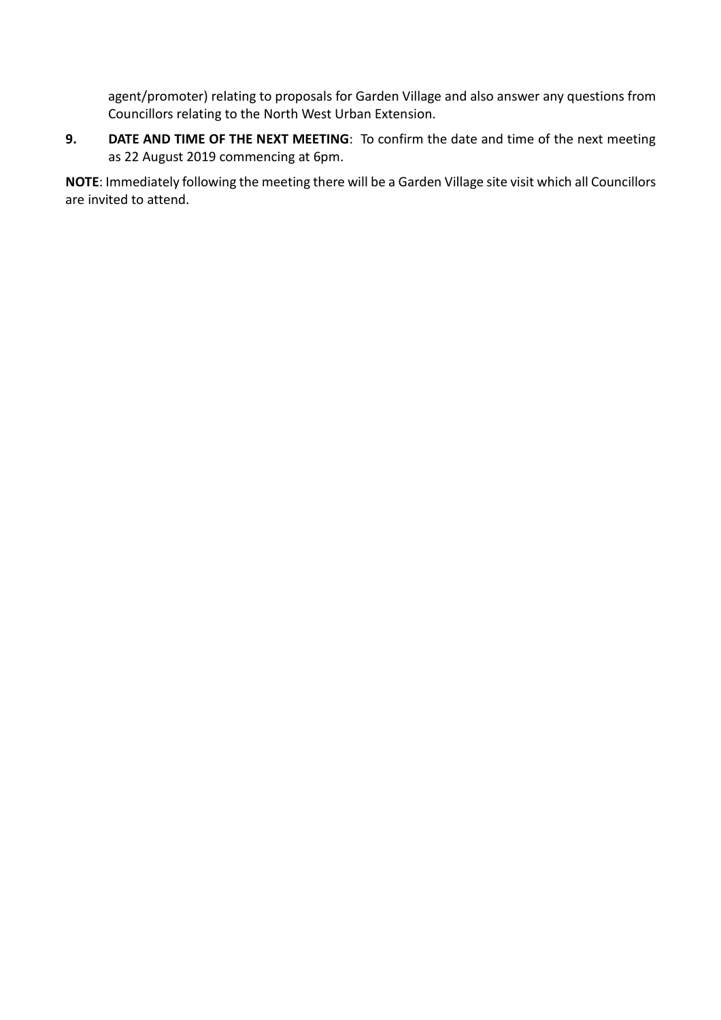agent/promoter) relating to proposals for Garden Village and also answer any questions from Councillors relating to the North West Urban Extension.

**9. DATE AND TIME OF THE NEXT MEETING**: To confirm the date and time of the next meeting as 22 August 2019 commencing at 6pm.

**NOTE**: Immediately following the meeting there will be a Garden Village site visit which all Councillors are invited to attend.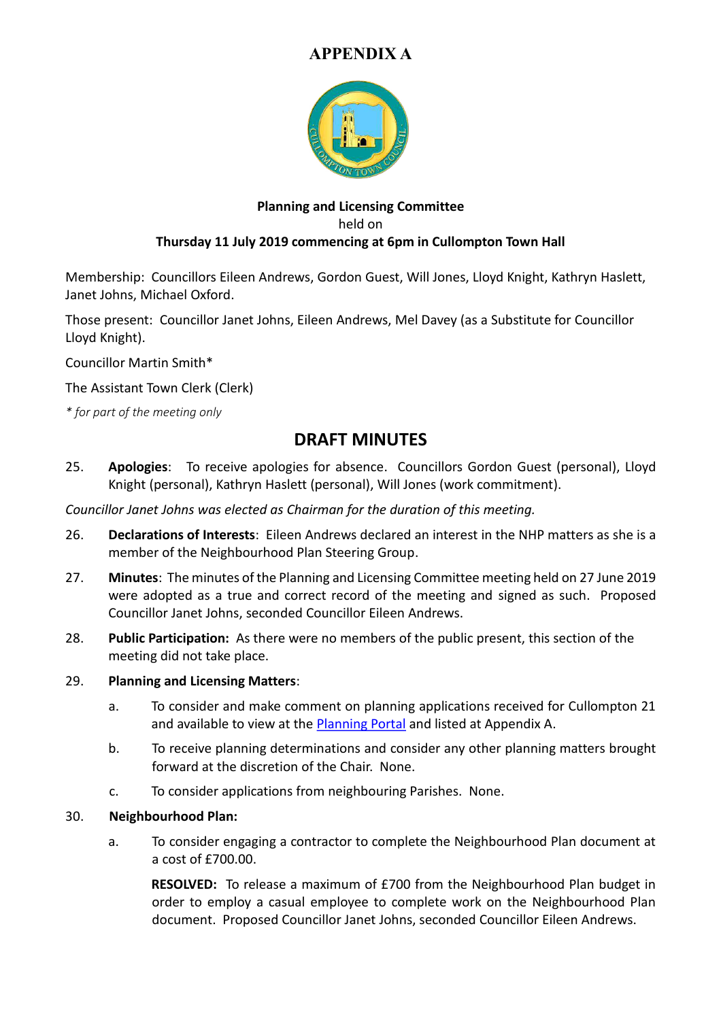

#### **Planning and Licensing Committee** held on **Thursday 11 July 2019 commencing at 6pm in Cullompton Town Hall**

Membership: Councillors Eileen Andrews, Gordon Guest, Will Jones, Lloyd Knight, Kathryn Haslett, Janet Johns, Michael Oxford.

Those present: Councillor Janet Johns, Eileen Andrews, Mel Davey (as a Substitute for Councillor Lloyd Knight).

Councillor Martin Smith\*

The Assistant Town Clerk (Clerk)

*\* for part of the meeting only*

### **DRAFT MINUTES**

25. **Apologies**: To receive apologies for absence. Councillors Gordon Guest (personal), Lloyd Knight (personal), Kathryn Haslett (personal), Will Jones (work commitment).

*Councillor Janet Johns was elected as Chairman for the duration of this meeting.*

- 26. **Declarations of Interests**: Eileen Andrews declared an interest in the NHP matters as she is a member of the Neighbourhood Plan Steering Group.
- 27. **Minutes**: The minutes of the Planning and Licensing Committee meeting held on 27 June 2019 were adopted as a true and correct record of the meeting and signed as such. Proposed Councillor Janet Johns, seconded Councillor Eileen Andrews.
- 28. **Public Participation:** As there were no members of the public present, this section of the meeting did not take place.

#### 29. **Planning and Licensing Matters**:

- a. To consider and make comment on planning applications received for Cullompton 21 and available to view at the [Planning Portal](https://planning.middevon.gov.uk/online-applications/search.do?action=simple&searchType=BuildingControl) and listed at Appendix A.
- b. To receive planning determinations and consider any other planning matters brought forward at the discretion of the Chair. None.
- c. To consider applications from neighbouring Parishes. None.

#### 30. **Neighbourhood Plan:**

a. To consider engaging a contractor to complete the Neighbourhood Plan document at a cost of £700.00.

**RESOLVED:** To release a maximum of £700 from the Neighbourhood Plan budget in order to employ a casual employee to complete work on the Neighbourhood Plan document. Proposed Councillor Janet Johns, seconded Councillor Eileen Andrews.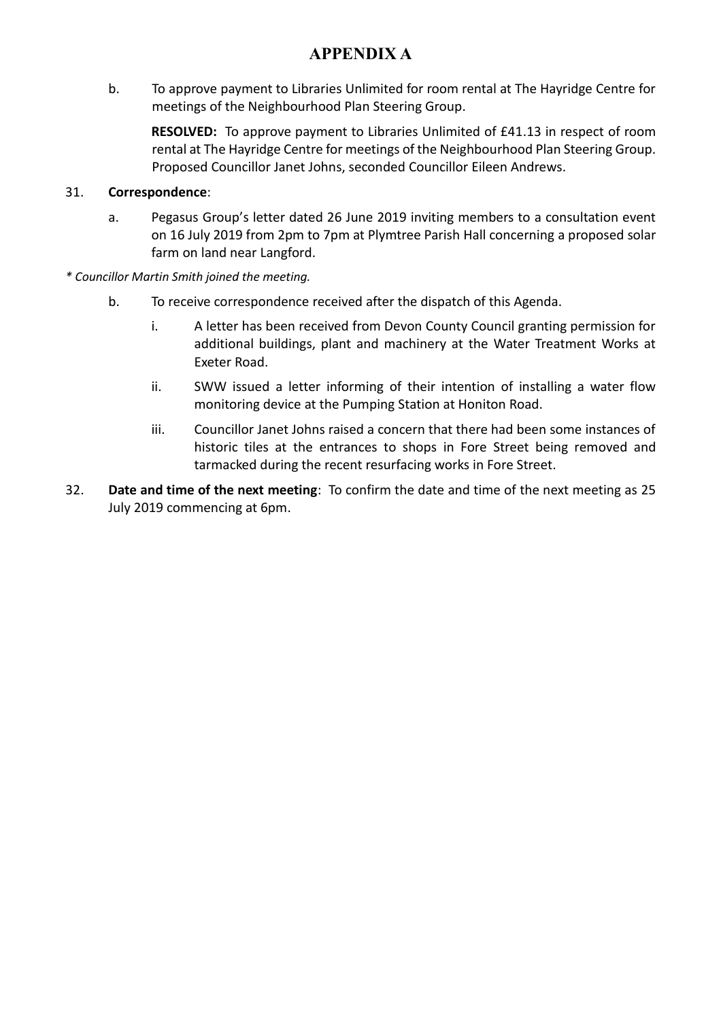b. To approve payment to Libraries Unlimited for room rental at The Hayridge Centre for meetings of the Neighbourhood Plan Steering Group.

**RESOLVED:** To approve payment to Libraries Unlimited of £41.13 in respect of room rental at The Hayridge Centre for meetings of the Neighbourhood Plan Steering Group. Proposed Councillor Janet Johns, seconded Councillor Eileen Andrews.

#### 31. **Correspondence**:

- a. Pegasus Group's letter dated 26 June 2019 inviting members to a consultation event on 16 July 2019 from 2pm to 7pm at Plymtree Parish Hall concerning a proposed solar farm on land near Langford.
- *\* Councillor Martin Smith joined the meeting.*
	- b. To receive correspondence received after the dispatch of this Agenda.
		- i. A letter has been received from Devon County Council granting permission for additional buildings, plant and machinery at the Water Treatment Works at Exeter Road.
		- ii. SWW issued a letter informing of their intention of installing a water flow monitoring device at the Pumping Station at Honiton Road.
		- iii. Councillor Janet Johns raised a concern that there had been some instances of historic tiles at the entrances to shops in Fore Street being removed and tarmacked during the recent resurfacing works in Fore Street.
- 32. **Date and time of the next meeting**: To confirm the date and time of the next meeting as 25 July 2019 commencing at 6pm.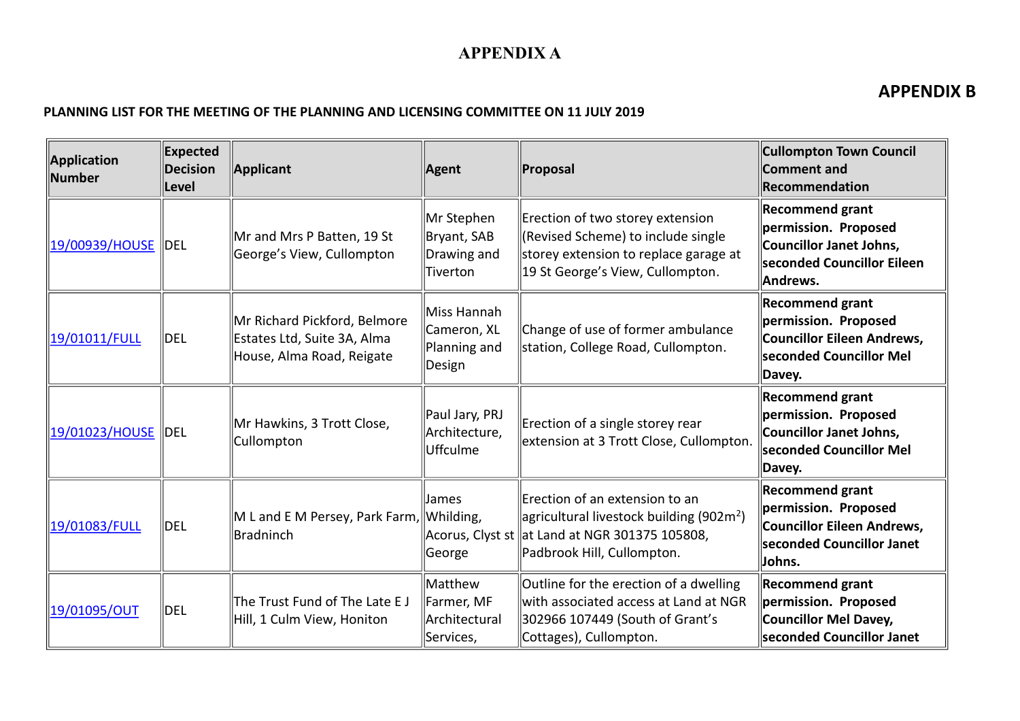### **APPENDIX B**

#### **PLANNING LIST FOR THE MEETING OF THE PLANNING AND LICENSING COMMITTEE ON 11 JULY 2019**

| <b>Application</b><br><b>Number</b> | <b>Expected</b><br><b>Decision</b><br>Level | <b>Applicant</b>                                                                         | <b>Agent</b>                                         | Proposal                                                                                                                                              | <b>Cullompton Town Council</b><br><b>Comment and</b><br>Recommendation                                              |
|-------------------------------------|---------------------------------------------|------------------------------------------------------------------------------------------|------------------------------------------------------|-------------------------------------------------------------------------------------------------------------------------------------------------------|---------------------------------------------------------------------------------------------------------------------|
| 19/00939/HOUSE  DEL                 |                                             | Mr and Mrs P Batten, 19 St<br>George's View, Cullompton                                  | Mr Stephen<br>Bryant, SAB<br>Drawing and<br>Tiverton | Erection of two storey extension<br>(Revised Scheme) to include single<br>storey extension to replace garage at<br>19 St George's View, Cullompton.   | <b>Recommend grant</b><br>permission. Proposed<br>Councillor Janet Johns,<br>seconded Councillor Eileen<br>Andrews. |
| 19/01011/FULL                       | <b>DEL</b>                                  | Mr Richard Pickford, Belmore<br>Estates Ltd, Suite 3A, Alma<br>House, Alma Road, Reigate | Miss Hannah<br>Cameron, XL<br>Planning and<br>Design | Change of use of former ambulance<br>station, College Road, Cullompton.                                                                               | <b>Recommend grant</b><br>permission. Proposed<br>Councillor Eileen Andrews,<br>seconded Councillor Mel<br>Davey.   |
| 19/01023/HOUSE  DEL                 |                                             | Mr Hawkins, 3 Trott Close,<br>Cullompton                                                 | Paul Jary, PRJ<br>Architecture,<br>Uffculme          | Erection of a single storey rear<br>extension at 3 Trott Close, Cullompton.                                                                           | <b>Recommend grant</b><br>permission. Proposed<br>Councillor Janet Johns,<br>seconded Councillor Mel<br>Davey.      |
| 19/01083/FULL                       | DEL                                         | M L and E M Persey, Park Farm,<br>Bradninch                                              | James<br>Whilding,<br>Acorus, Clyst st<br>George     | Erection of an extension to an<br>agricultural livestock building (902m <sup>2</sup> )<br>at Land at NGR 301375 105808,<br>Padbrook Hill, Cullompton. | <b>Recommend grant</b><br>permission. Proposed<br>Councillor Eileen Andrews,<br>seconded Councillor Janet<br>Johns. |
| 19/01095/OUT                        | <b>DEL</b>                                  | The Trust Fund of The Late E J<br>Hill, 1 Culm View, Honiton                             | Matthew<br>Farmer, MF<br>Architectural<br>Services,  | Outline for the erection of a dwelling<br>with associated access at Land at NGR<br>302966 107449 (South of Grant's<br>Cottages), Cullompton.          | <b>Recommend grant</b><br>permission. Proposed<br>Councillor Mel Davey,<br>seconded Councillor Janet                |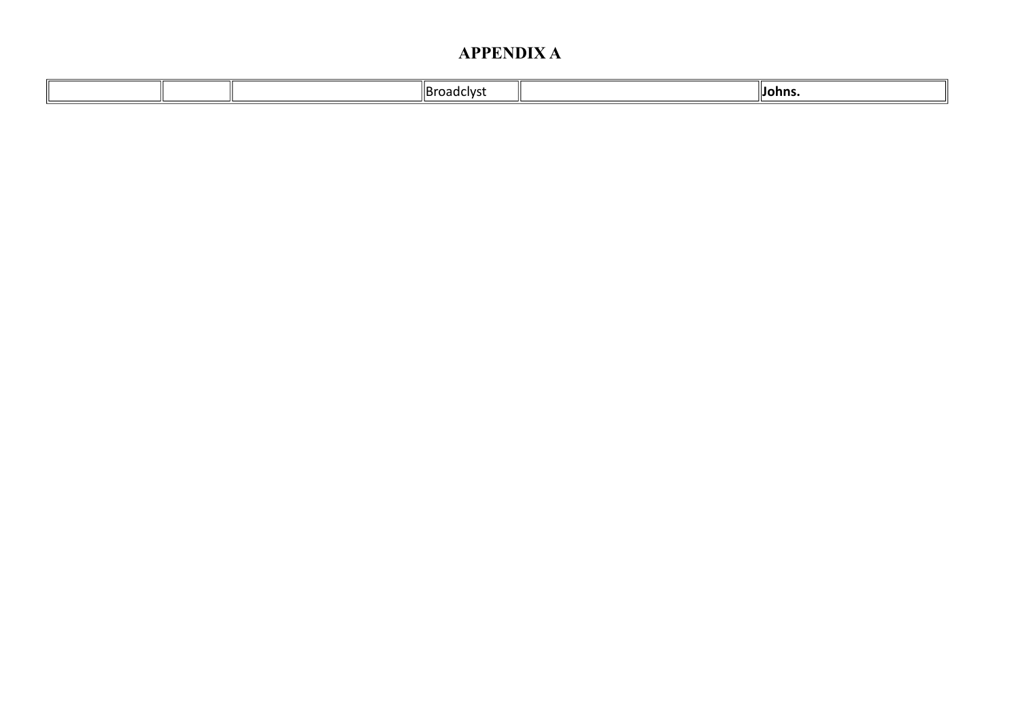|  | adcivc<br>ירי | "Iohns. |
|--|---------------|---------|
|  |               |         |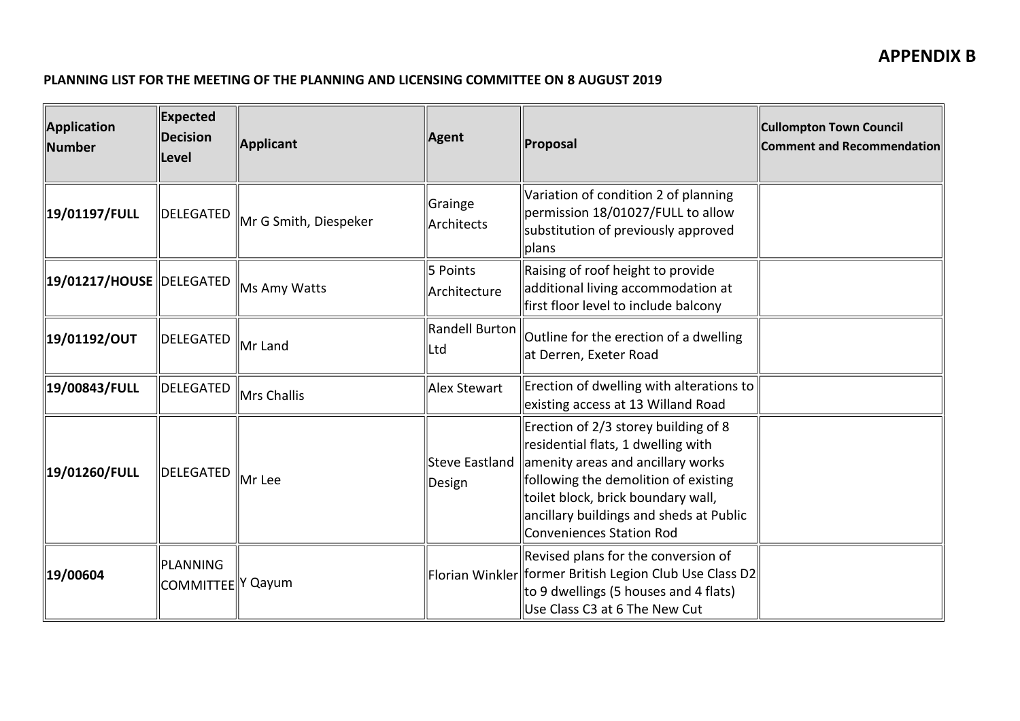#### **PLANNING LIST FOR THE MEETING OF THE PLANNING AND LICENSING COMMITTEE ON 8 AUGUST 2019**

| Application<br>Number                            | <b>Expected</b><br><b>Decision</b><br><b>Level</b> | Applicant             | Agent                        | Proposal                                                                                                                                                                                                                                                             | <b>Cullompton Town Council</b><br><b>Comment and Recommendation</b> |
|--------------------------------------------------|----------------------------------------------------|-----------------------|------------------------------|----------------------------------------------------------------------------------------------------------------------------------------------------------------------------------------------------------------------------------------------------------------------|---------------------------------------------------------------------|
| 19/01197/FULL                                    | DELEGATED                                          | Mr G Smith, Diespeker | Grainge<br>Architects        | Variation of condition 2 of planning<br>permission 18/01027/FULL to allow<br>substitution of previously approved<br>plans                                                                                                                                            |                                                                     |
| $\parallel$ 19/01217/HOUSE $\parallel$ DELEGATED |                                                    | Ms Amy Watts          | 5 Points<br>Architecture     | Raising of roof height to provide<br>additional living accommodation at<br>first floor level to include balcony                                                                                                                                                      |                                                                     |
| 19/01192/OUT                                     | DELEGATED                                          | Mr Land               | <b>Randell Burton</b><br>Ltd | Outline for the erection of a dwelling<br>at Derren, Exeter Road                                                                                                                                                                                                     |                                                                     |
| 19/00843/FULL!                                   | DELEGATED                                          | Mrs Challis           | Alex Stewart                 | Erection of dwelling with alterations to<br>existing access at 13 Willand Road                                                                                                                                                                                       |                                                                     |
| 19/01260/FULL                                    | DELEGATED                                          | Mr Lee                | Steve Eastland<br>Design     | Erection of 2/3 storey building of 8<br>residential flats, 1 dwelling with<br>amenity areas and ancillary works<br>following the demolition of existing<br>toilet block, brick boundary wall,<br>ancillary buildings and sheds at Public<br>Conveniences Station Rod |                                                                     |
| 19/00604                                         | PLANNING<br>COMMITTEE Y Qayum                      |                       |                              | Revised plans for the conversion of<br>Florian Winkler   former British Legion Club Use Class D2 <br>to 9 dwellings (5 houses and 4 flats)<br>Use Class C3 at 6 The New Cut                                                                                          |                                                                     |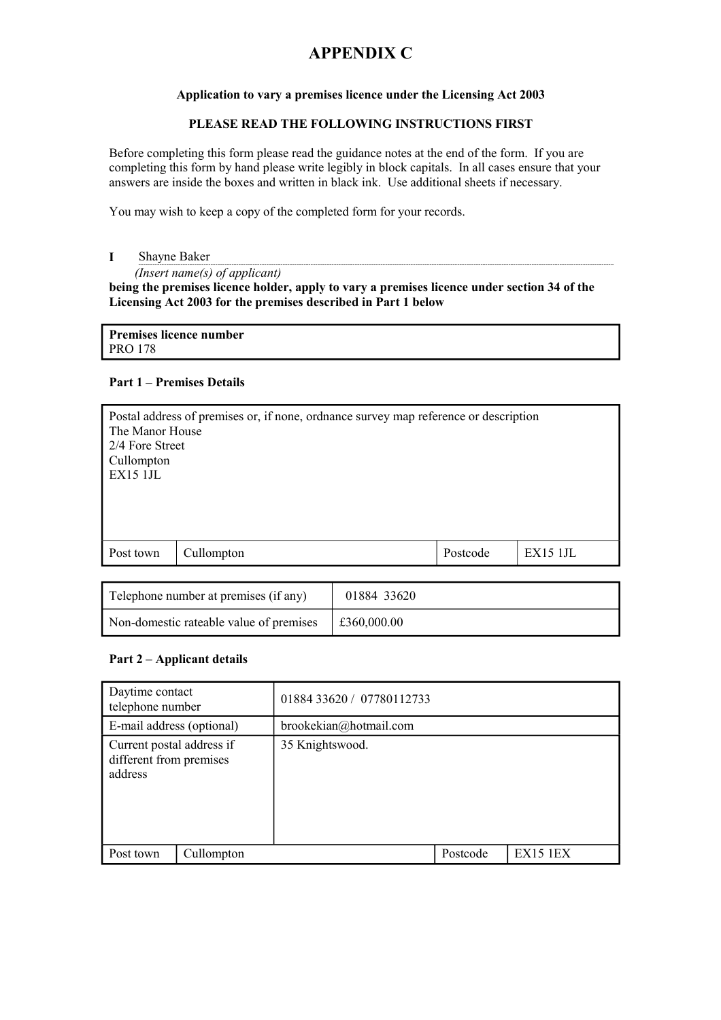#### **Application to vary a premises licence under the Licensing Act 2003**

#### **PLEASE READ THE FOLLOWING INSTRUCTIONS FIRST**

Before completing this form please read the guidance notes at the end of the form. If you are completing this form by hand please write legibly in block capitals. In all cases ensure that your answers are inside the boxes and written in black ink. Use additional sheets if necessary.

You may wish to keep a copy of the completed form for your records.

**I** Shayne Baker

*(Insert name(s) of applicant)*

**being the premises licence holder, apply to vary a premises licence under section 34 of the Licensing Act 2003 for the premises described in Part 1 below**

**Premises licence number** PRO 178

#### **Part 1 – Premises Details**

| Postal address of premises or, if none, ordinance survey map reference or description<br>The Manor House<br>2/4 Fore Street<br>Cullompton<br>EX15 1JL |  |  |  |  |  |
|-------------------------------------------------------------------------------------------------------------------------------------------------------|--|--|--|--|--|
| Postcode<br>EX151JL<br>Post town<br>Cullompton                                                                                                        |  |  |  |  |  |
|                                                                                                                                                       |  |  |  |  |  |

| Telephone number at premises (if any)   | 01884 33620 |
|-----------------------------------------|-------------|
| Non-domestic rateable value of premises | £360,000.00 |

#### **Part 2 – Applicant details**

| Daytime contact<br>telephone number                             |            | 01884 33620 / 07780112733 |          |                 |  |  |
|-----------------------------------------------------------------|------------|---------------------------|----------|-----------------|--|--|
| E-mail address (optional)                                       |            | brookekian@hotmail.com    |          |                 |  |  |
| Current postal address if<br>different from premises<br>address |            | 35 Knightswood.           |          |                 |  |  |
| Post town                                                       | Cullompton |                           | Postcode | <b>EX15 1EX</b> |  |  |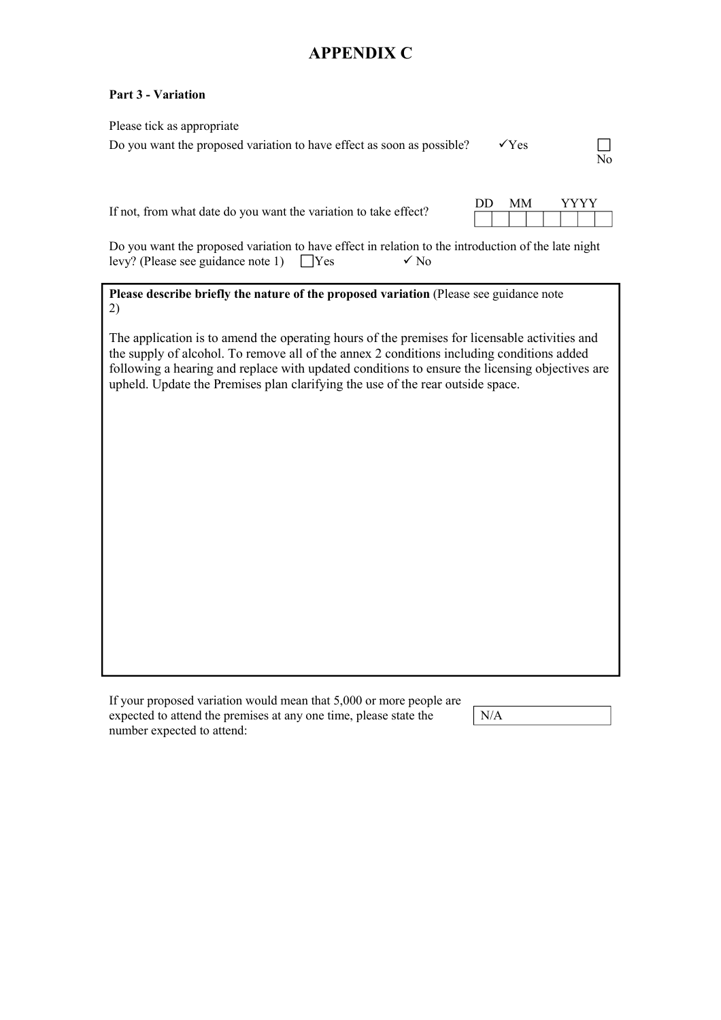#### **Part 3 - Variation**

| Please tick as appropriate<br>Do you want the proposed variation to have effect as soon as possible?                                                                                                                                                                                                                                                                           | $\check{y}$ Yes | N <sub>0</sub> |
|--------------------------------------------------------------------------------------------------------------------------------------------------------------------------------------------------------------------------------------------------------------------------------------------------------------------------------------------------------------------------------|-----------------|----------------|
| If not, from what date do you want the variation to take effect?                                                                                                                                                                                                                                                                                                               | DD<br><b>MM</b> | YYYY           |
| Do you want the proposed variation to have effect in relation to the introduction of the late night<br>levy? (Please see guidance note 1)<br>$\sqrt{N_0}$<br><b>Yes</b>                                                                                                                                                                                                        |                 |                |
| Please describe briefly the nature of the proposed variation (Please see guidance note<br>2)                                                                                                                                                                                                                                                                                   |                 |                |
| The application is to amend the operating hours of the premises for licensable activities and<br>the supply of alcohol. To remove all of the annex 2 conditions including conditions added<br>following a hearing and replace with updated conditions to ensure the licensing objectives are<br>upheld. Update the Premises plan clarifying the use of the rear outside space. |                 |                |
|                                                                                                                                                                                                                                                                                                                                                                                |                 |                |
|                                                                                                                                                                                                                                                                                                                                                                                |                 |                |
|                                                                                                                                                                                                                                                                                                                                                                                |                 |                |
|                                                                                                                                                                                                                                                                                                                                                                                |                 |                |
|                                                                                                                                                                                                                                                                                                                                                                                |                 |                |

| If your proposed variation would mean that 5,000 or more people are |
|---------------------------------------------------------------------|
| expected to attend the premises at any one time, please state the   |
| number expected to attend:                                          |

N/A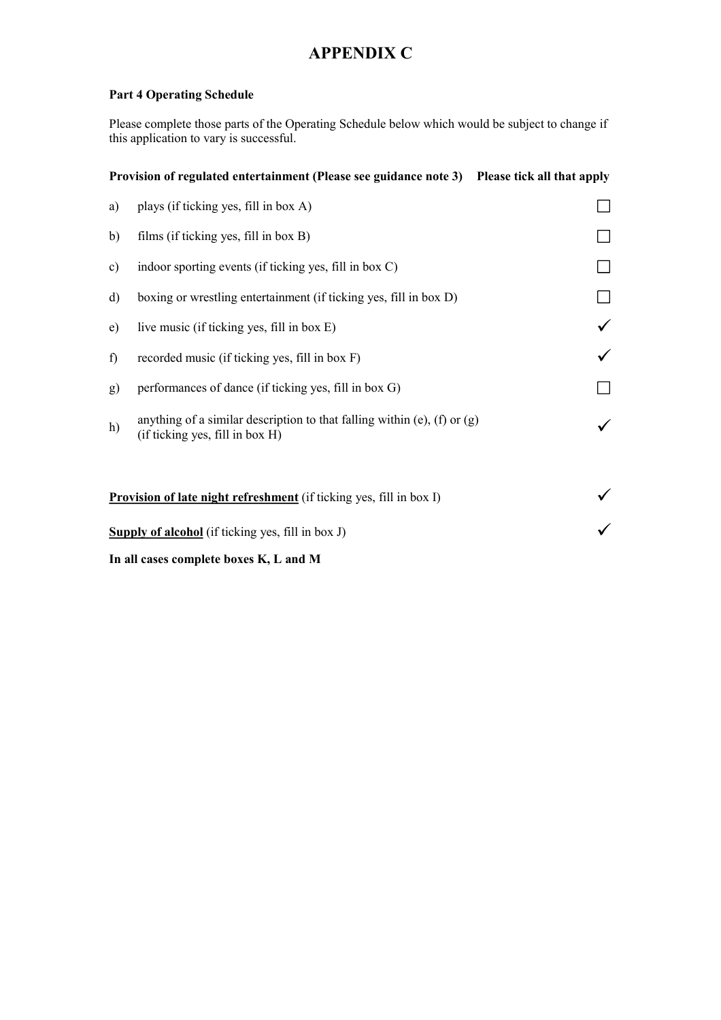#### **Part 4 Operating Schedule**

Please complete those parts of the Operating Schedule below which would be subject to change if this application to vary is successful.

|              | Provision of regulated entertainment (Please see guidance note 3) Please tick all that apply                  |  |
|--------------|---------------------------------------------------------------------------------------------------------------|--|
| a)           | plays (if ticking yes, fill in box A)                                                                         |  |
| b)           | films (if ticking yes, fill in box B)                                                                         |  |
| c)           | indoor sporting events (if ticking yes, fill in box C)                                                        |  |
| $\mathbf{d}$ | boxing or wrestling entertainment (if ticking yes, fill in box D)                                             |  |
| e)           | live music (if ticking yes, fill in box E)                                                                    |  |
| f)           | recorded music (if ticking yes, fill in box F)                                                                |  |
| g)           | performances of dance (if ticking yes, fill in box G)                                                         |  |
| h)           | anything of a similar description to that falling within (e), (f) or $(g)$<br>(if ticking yes, fill in box H) |  |
|              | <b>Provision of late night refreshment</b> (if ticking yes, fill in box I)                                    |  |
|              | <b>Supply of alcohol</b> (if ticking yes, fill in box J)                                                      |  |

**In all cases complete boxes K, L and M**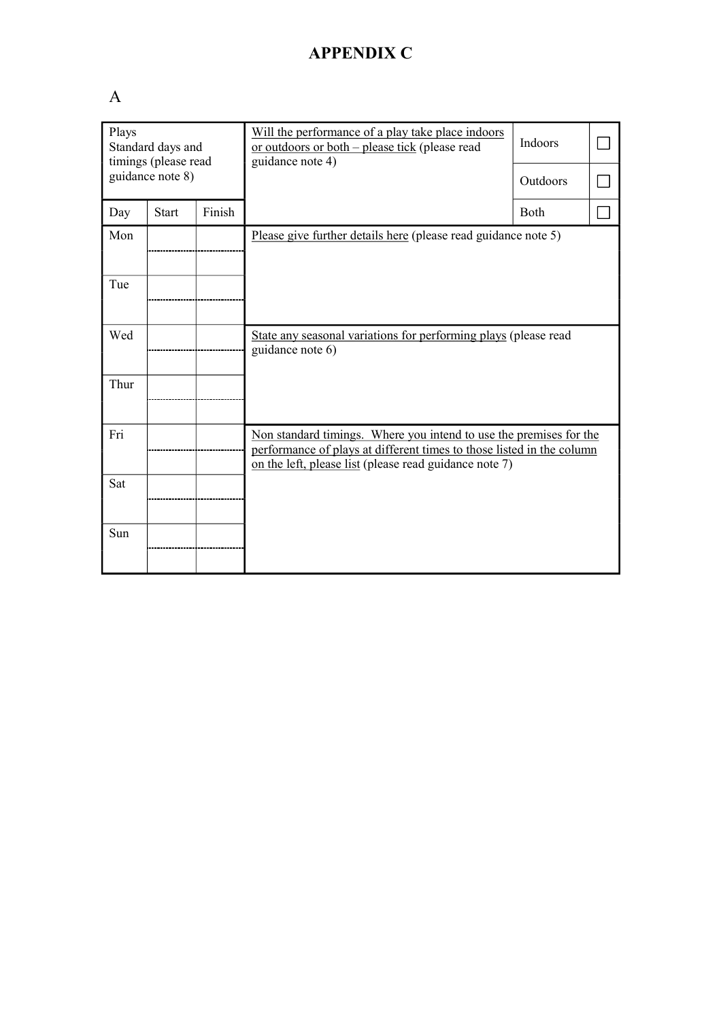# A

| Plays<br>Standard days and<br>timings (please read |                  |        | Will the performance of a play take place indoors<br>or outdoors or both – please tick (please read<br>guidance note 4)                                                                               | Indoors     |  |
|----------------------------------------------------|------------------|--------|-------------------------------------------------------------------------------------------------------------------------------------------------------------------------------------------------------|-------------|--|
|                                                    | guidance note 8) |        |                                                                                                                                                                                                       | Outdoors    |  |
| Day                                                | <b>Start</b>     | Finish |                                                                                                                                                                                                       | <b>Both</b> |  |
| Mon                                                |                  |        | Please give further details here (please read guidance note 5)                                                                                                                                        |             |  |
| Tue                                                |                  |        |                                                                                                                                                                                                       |             |  |
| Wed                                                |                  |        | State any seasonal variations for performing plays (please read<br>guidance note $6$ )                                                                                                                |             |  |
| Thur                                               |                  |        |                                                                                                                                                                                                       |             |  |
| Fri                                                |                  |        | Non standard timings. Where you intend to use the premises for the<br>performance of plays at different times to those listed in the column<br>on the left, please list (please read guidance note 7) |             |  |
| Sat                                                |                  |        |                                                                                                                                                                                                       |             |  |
| Sun                                                |                  |        |                                                                                                                                                                                                       |             |  |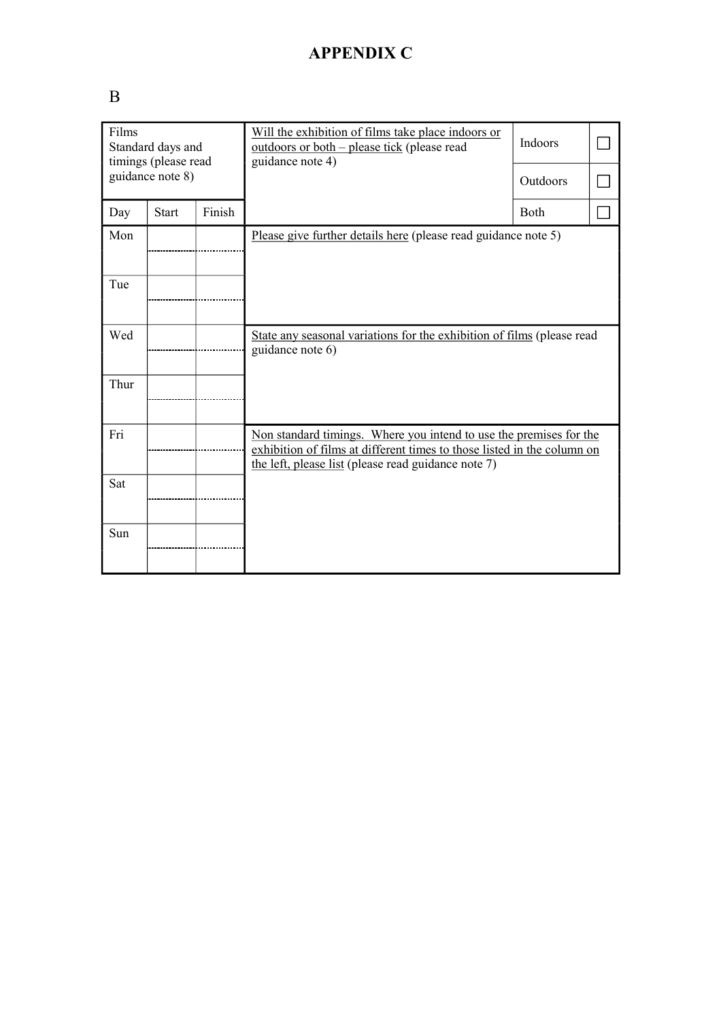# B

| Films<br>Standard days and<br>timings (please read |                  |        | Will the exhibition of films take place indoors or<br>outdoors or both – please tick (please read<br>guidance note 4)                                                                                | Indoors  |  |
|----------------------------------------------------|------------------|--------|------------------------------------------------------------------------------------------------------------------------------------------------------------------------------------------------------|----------|--|
|                                                    | guidance note 8) |        |                                                                                                                                                                                                      | Outdoors |  |
| Day                                                | <b>Start</b>     | Finish |                                                                                                                                                                                                      | Both     |  |
| Mon                                                |                  |        | Please give further details here (please read guidance note 5)                                                                                                                                       |          |  |
| Tue                                                |                  |        |                                                                                                                                                                                                      |          |  |
| Wed                                                |                  |        | State any seasonal variations for the exhibition of films (please read<br>guidance note 6)                                                                                                           |          |  |
| Thur                                               |                  |        |                                                                                                                                                                                                      |          |  |
| Fri                                                |                  |        | Non standard timings. Where you intend to use the premises for the<br>exhibition of films at different times to those listed in the column on<br>the left, please list (please read guidance note 7) |          |  |
| Sat                                                |                  |        |                                                                                                                                                                                                      |          |  |
| Sun                                                |                  |        |                                                                                                                                                                                                      |          |  |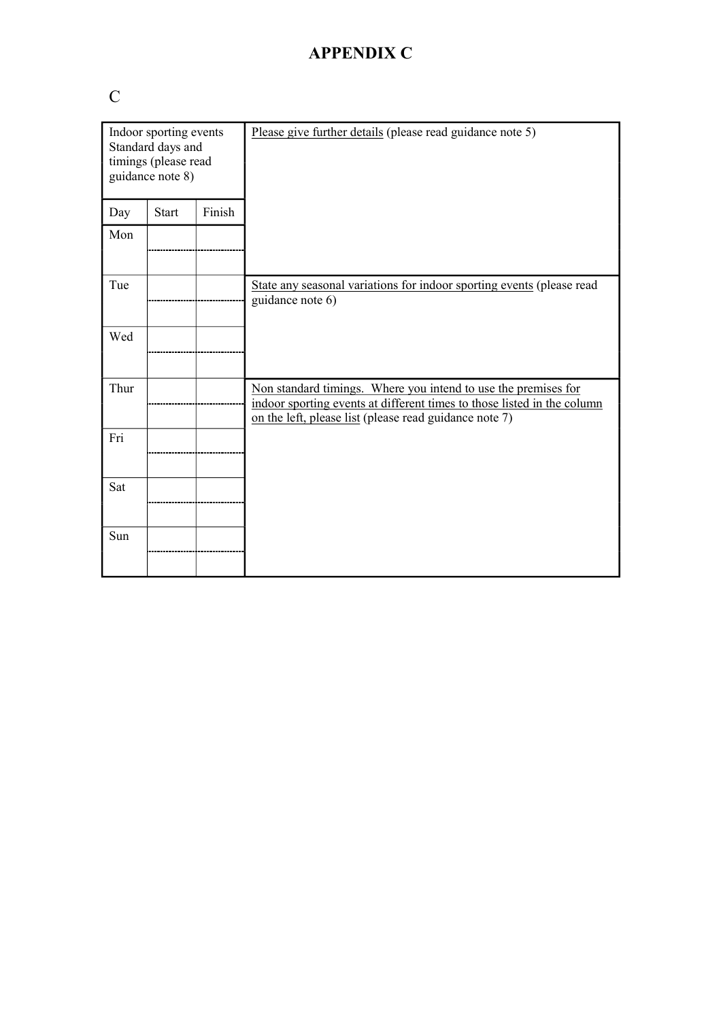# C

| Indoor sporting events<br>Standard days and<br>timings (please read<br>guidance note 8) |              |        | Please give further details (please read guidance note 5)                                                                                                                                           |
|-----------------------------------------------------------------------------------------|--------------|--------|-----------------------------------------------------------------------------------------------------------------------------------------------------------------------------------------------------|
| Day                                                                                     | <b>Start</b> | Finish |                                                                                                                                                                                                     |
| Mon                                                                                     |              |        |                                                                                                                                                                                                     |
| Tue                                                                                     |              |        | State any seasonal variations for indoor sporting events (please read<br>guidance note 6)                                                                                                           |
| Wed                                                                                     |              |        |                                                                                                                                                                                                     |
| Thur                                                                                    |              |        | Non standard timings. Where you intend to use the premises for<br>indoor sporting events at different times to those listed in the column<br>on the left, please list (please read guidance note 7) |
| Fri                                                                                     |              |        |                                                                                                                                                                                                     |
| Sat                                                                                     |              |        |                                                                                                                                                                                                     |
| Sun                                                                                     |              |        |                                                                                                                                                                                                     |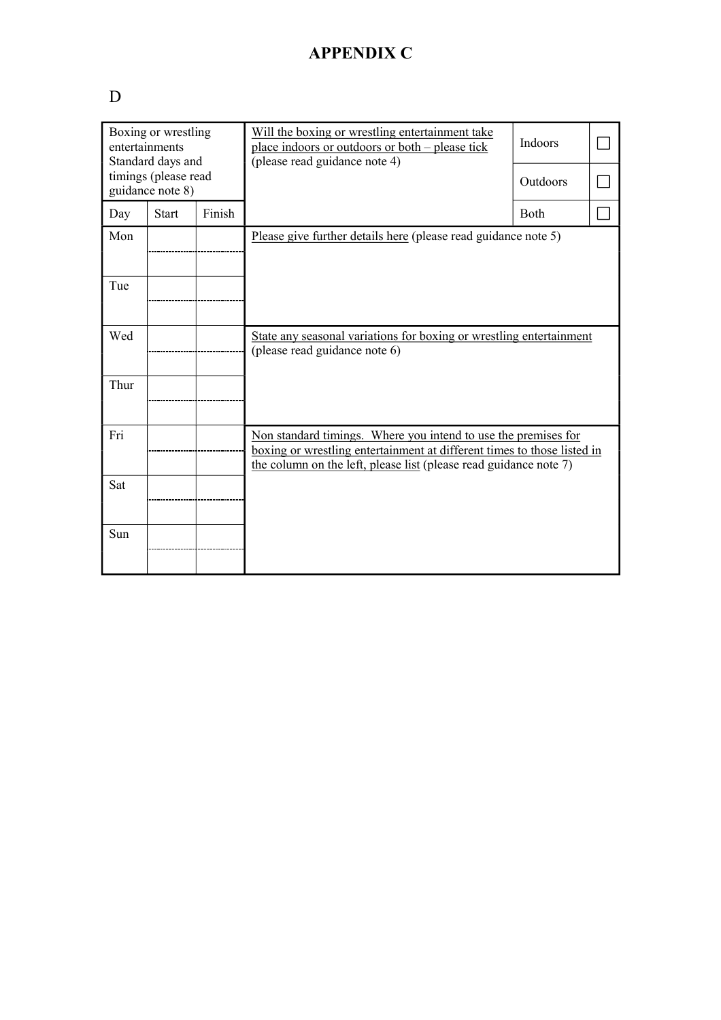# D

|      | Boxing or wrestling<br>entertainments<br>Standard days and |        | Will the boxing or wrestling entertainment take<br>place indoors or outdoors or both – please tick<br>(please read guidance note 4)                                                                            | Indoors  |  |
|------|------------------------------------------------------------|--------|----------------------------------------------------------------------------------------------------------------------------------------------------------------------------------------------------------------|----------|--|
|      | timings (please read<br>guidance note 8)                   |        |                                                                                                                                                                                                                | Outdoors |  |
| Day  | <b>Start</b>                                               | Finish |                                                                                                                                                                                                                | Both     |  |
| Mon  |                                                            |        | Please give further details here (please read guidance note 5)                                                                                                                                                 |          |  |
| Tue  |                                                            |        |                                                                                                                                                                                                                |          |  |
| Wed  |                                                            |        | State any seasonal variations for boxing or wrestling entertainment<br>(please read guidance note 6)                                                                                                           |          |  |
| Thur |                                                            |        |                                                                                                                                                                                                                |          |  |
| Fri  |                                                            |        | Non standard timings. Where you intend to use the premises for<br>boxing or wrestling entertainment at different times to those listed in<br>the column on the left, please list (please read guidance note 7) |          |  |
| Sat  |                                                            |        |                                                                                                                                                                                                                |          |  |
| Sun  |                                                            |        |                                                                                                                                                                                                                |          |  |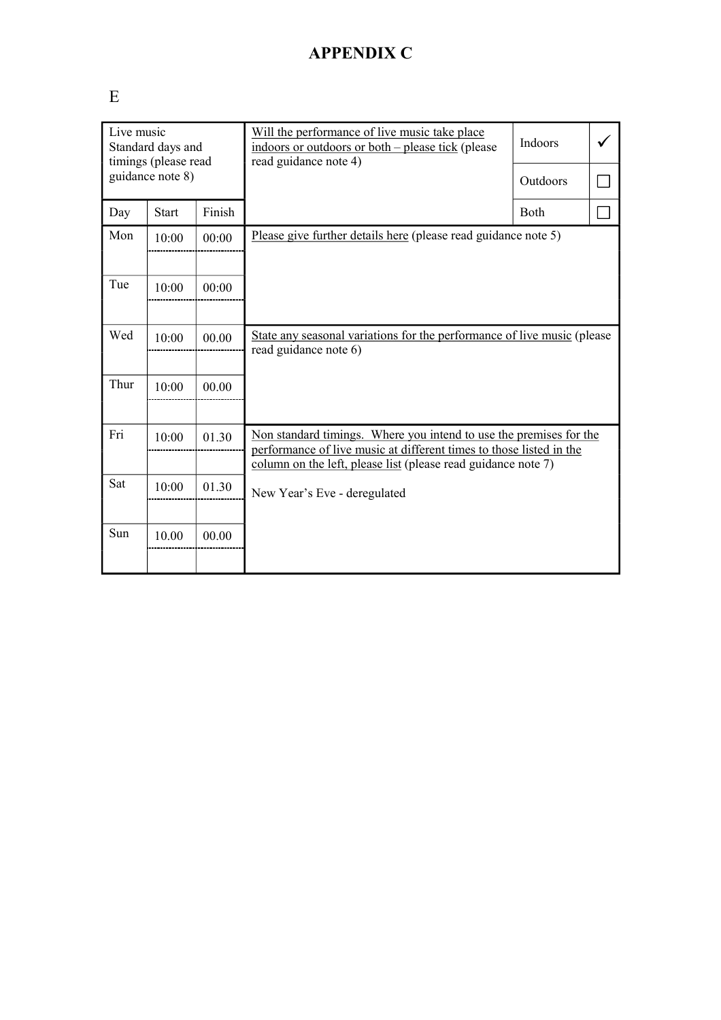# E

|      | Live music<br>Standard days and<br>timings (please read<br>guidance note 8) |        | Will the performance of live music take place<br>indoors or outdoors or both – please tick (please<br>read guidance note 4)               | Indoors     |  |
|------|-----------------------------------------------------------------------------|--------|-------------------------------------------------------------------------------------------------------------------------------------------|-------------|--|
|      |                                                                             |        |                                                                                                                                           | Outdoors    |  |
| Day  | <b>Start</b>                                                                | Finish |                                                                                                                                           | <b>Both</b> |  |
| Mon  | 10:00                                                                       | 00:00  | Please give further details here (please read guidance note 5)                                                                            |             |  |
|      |                                                                             |        |                                                                                                                                           |             |  |
| Tue  | 10:00                                                                       | 00:00  |                                                                                                                                           |             |  |
|      |                                                                             |        |                                                                                                                                           |             |  |
| Wed  | 10:00                                                                       | 00.00  | State any seasonal variations for the performance of live music (please<br>read guidance note 6)                                          |             |  |
|      |                                                                             |        |                                                                                                                                           |             |  |
| Thur | 10:00                                                                       | 00.00  |                                                                                                                                           |             |  |
|      |                                                                             |        |                                                                                                                                           |             |  |
| Fri  | 10:00                                                                       | 01.30  | Non standard timings. Where you intend to use the premises for the<br>performance of live music at different times to those listed in the |             |  |
|      |                                                                             |        | column on the left, please list (please read guidance note 7)                                                                             |             |  |
| Sat  | 10:00                                                                       | 01.30  | New Year's Eve - deregulated                                                                                                              |             |  |
|      |                                                                             |        |                                                                                                                                           |             |  |
| Sun  | 10.00                                                                       | 00.00  |                                                                                                                                           |             |  |
|      |                                                                             |        |                                                                                                                                           |             |  |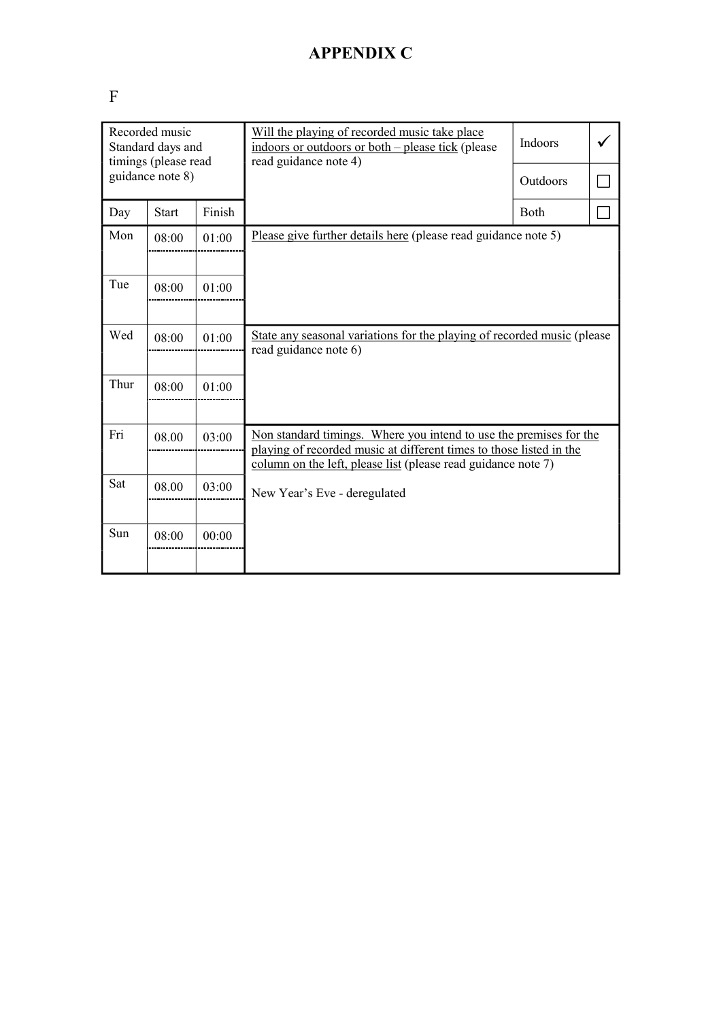# F

|      | Recorded music<br>Standard days and<br>timings (please read<br>guidance note 8) |        | Will the playing of recorded music take place<br>indoors or outdoors or both – please tick (please<br>read guidance note 4)               | Indoors<br>Outdoors |  |
|------|---------------------------------------------------------------------------------|--------|-------------------------------------------------------------------------------------------------------------------------------------------|---------------------|--|
|      |                                                                                 |        |                                                                                                                                           |                     |  |
| Day  | <b>Start</b>                                                                    | Finish |                                                                                                                                           | <b>Both</b>         |  |
| Mon  | 08:00                                                                           | 01:00  | Please give further details here (please read guidance note 5)                                                                            |                     |  |
|      |                                                                                 |        |                                                                                                                                           |                     |  |
| Tue  | 08:00                                                                           | 01:00  |                                                                                                                                           |                     |  |
|      |                                                                                 |        |                                                                                                                                           |                     |  |
| Wed  | 08:00                                                                           | 01:00  | State any seasonal variations for the playing of recorded music (please)<br>read guidance note 6)                                         |                     |  |
|      |                                                                                 |        |                                                                                                                                           |                     |  |
| Thur | 08:00                                                                           | 01:00  |                                                                                                                                           |                     |  |
|      |                                                                                 |        |                                                                                                                                           |                     |  |
| Fri  | 08.00                                                                           | 03:00  | Non standard timings. Where you intend to use the premises for the<br>playing of recorded music at different times to those listed in the |                     |  |
|      |                                                                                 |        | column on the left, please list (please read guidance note 7)                                                                             |                     |  |
| Sat  | 08.00                                                                           | 03:00  | New Year's Eve - deregulated                                                                                                              |                     |  |
|      |                                                                                 |        |                                                                                                                                           |                     |  |
| Sun  | 08:00                                                                           | 00:00  |                                                                                                                                           |                     |  |
|      |                                                                                 |        |                                                                                                                                           |                     |  |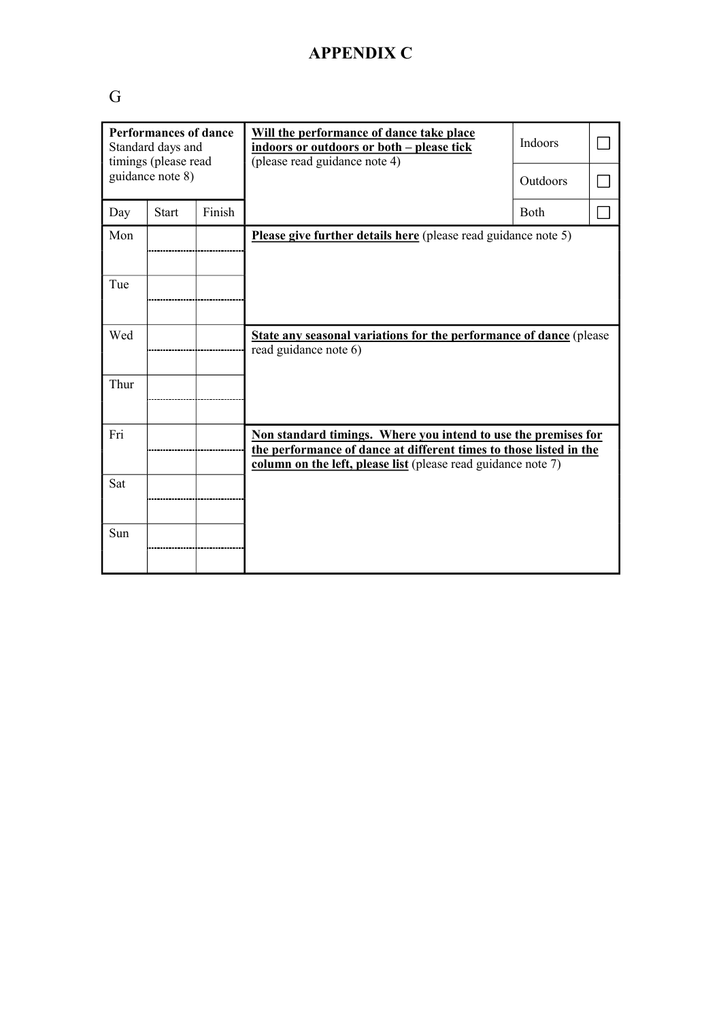# G

| <b>Performances of dance</b><br>Standard days and<br>timings (please read |                  |        | Will the performance of dance take place<br>indoors or outdoors or both - please tick<br>(please read guidance note 4)                                                                                | Indoors  |  |
|---------------------------------------------------------------------------|------------------|--------|-------------------------------------------------------------------------------------------------------------------------------------------------------------------------------------------------------|----------|--|
|                                                                           | guidance note 8) |        |                                                                                                                                                                                                       | Outdoors |  |
| Day                                                                       | <b>Start</b>     | Finish |                                                                                                                                                                                                       | Both     |  |
| Mon                                                                       |                  |        | Please give further details here (please read guidance note 5)                                                                                                                                        |          |  |
| Tue                                                                       |                  |        |                                                                                                                                                                                                       |          |  |
| Wed                                                                       |                  |        | <b>State any seasonal variations for the performance of dance</b> (please<br>read guidance note 6)                                                                                                    |          |  |
| Thur                                                                      |                  |        |                                                                                                                                                                                                       |          |  |
| Fri                                                                       |                  |        | Non standard timings. Where you intend to use the premises for<br>the performance of dance at different times to those listed in the<br>column on the left, please list (please read guidance note 7) |          |  |
| Sat                                                                       |                  |        |                                                                                                                                                                                                       |          |  |
| Sun                                                                       |                  |        |                                                                                                                                                                                                       |          |  |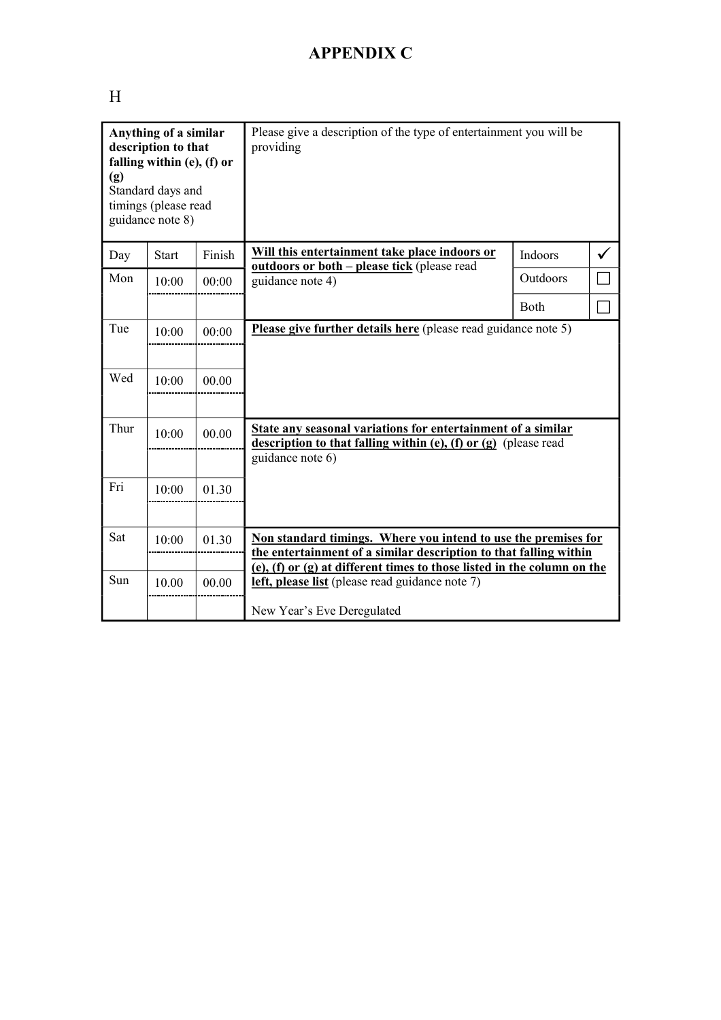# H

| Anything of a similar<br>description to that<br>falling within (e), (f) or<br>(g)<br>Standard days and<br>timings (please read<br>guidance note 8) |              |        | Please give a description of the type of entertainment you will be<br>providing                                                                                                                                |          |  |
|----------------------------------------------------------------------------------------------------------------------------------------------------|--------------|--------|----------------------------------------------------------------------------------------------------------------------------------------------------------------------------------------------------------------|----------|--|
| Day                                                                                                                                                | <b>Start</b> | Finish | Will this entertainment take place indoors or<br><b><u>outdoors or both – please tick</u></b> (please read                                                                                                     | Indoors  |  |
| Mon                                                                                                                                                | 10:00        | 00:00  | guidance note 4)                                                                                                                                                                                               | Outdoors |  |
|                                                                                                                                                    |              |        |                                                                                                                                                                                                                | Both     |  |
| Tue                                                                                                                                                | 10:00        | 00:00  | Please give further details here (please read guidance note 5)                                                                                                                                                 |          |  |
| Wed                                                                                                                                                | 10:00        | 00.00  |                                                                                                                                                                                                                |          |  |
| Thur                                                                                                                                               | 10:00        | 00.00  | State any seasonal variations for entertainment of a similar<br>description to that falling within $(e)$ , $(f)$ or $(g)$ (please read<br>guidance note 6)                                                     |          |  |
| Fri                                                                                                                                                | 10:00        | 01.30  |                                                                                                                                                                                                                |          |  |
| Sat                                                                                                                                                | 10:00        | 01.30  | Non standard timings. Where you intend to use the premises for<br>the entertainment of a similar description to that falling within<br>(e), (f) or (g) at different times to those listed in the column on the |          |  |
| Sun                                                                                                                                                | 10.00        | 00.00  | left, please list (please read guidance note 7)<br>New Year's Eve Deregulated                                                                                                                                  |          |  |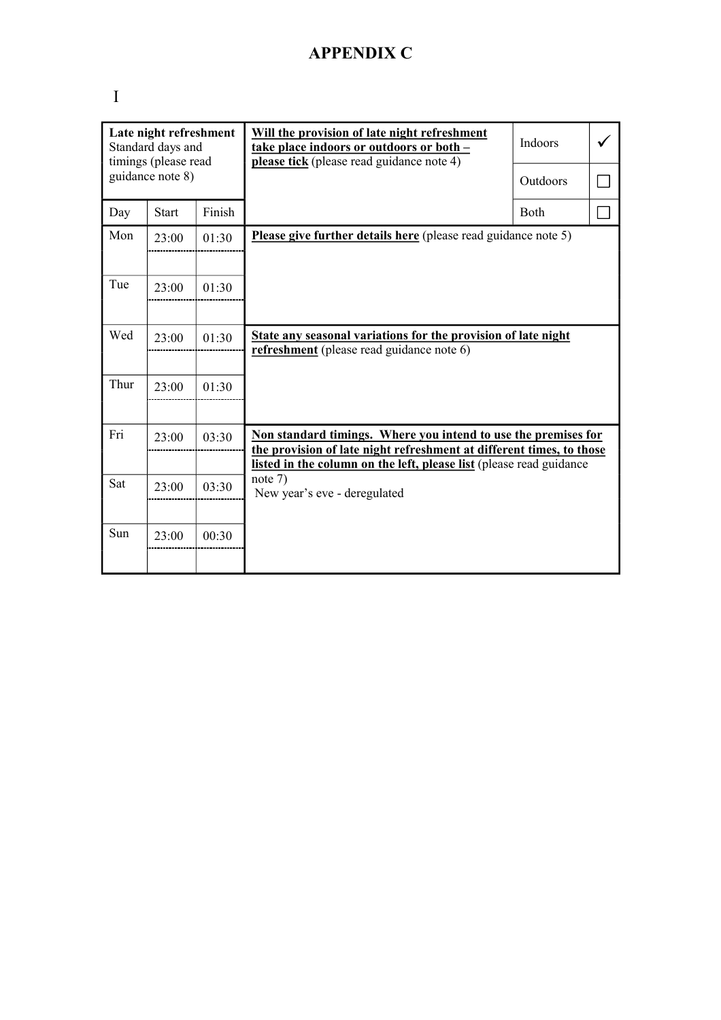| ٠ |
|---|
|   |
|   |
|   |
|   |

|      | Late night refreshment<br>Standard days and<br>timings (please read |        | Will the provision of late night refreshment<br>take place indoors or outdoors or both -<br>please tick (please read guidance note 4)  | Indoors     |  |
|------|---------------------------------------------------------------------|--------|----------------------------------------------------------------------------------------------------------------------------------------|-------------|--|
|      | guidance note 8)                                                    |        |                                                                                                                                        | Outdoors    |  |
| Day  | <b>Start</b>                                                        | Finish |                                                                                                                                        | <b>Both</b> |  |
| Mon  | 23:00                                                               | 01:30  | Please give further details here (please read guidance note 5)                                                                         |             |  |
|      |                                                                     |        |                                                                                                                                        |             |  |
| Tue  | 23:00                                                               | 01:30  |                                                                                                                                        |             |  |
|      |                                                                     |        |                                                                                                                                        |             |  |
| Wed  | 23:00                                                               | 01:30  | State any seasonal variations for the provision of late night<br>refreshment (please read guidance note 6)                             |             |  |
|      |                                                                     |        |                                                                                                                                        |             |  |
| Thur | 23:00                                                               | 01:30  |                                                                                                                                        |             |  |
|      |                                                                     |        |                                                                                                                                        |             |  |
| Fri  | 23:00                                                               | 03:30  | Non standard timings. Where you intend to use the premises for<br>the provision of late night refreshment at different times, to those |             |  |
|      |                                                                     |        | listed in the column on the left, please list (please read guidance                                                                    |             |  |
| Sat  | 23:00                                                               | 03:30  | note 7)<br>New year's eve - deregulated                                                                                                |             |  |
|      |                                                                     |        |                                                                                                                                        |             |  |
| Sun  | 23:00                                                               | 00:30  |                                                                                                                                        |             |  |
|      |                                                                     |        |                                                                                                                                        |             |  |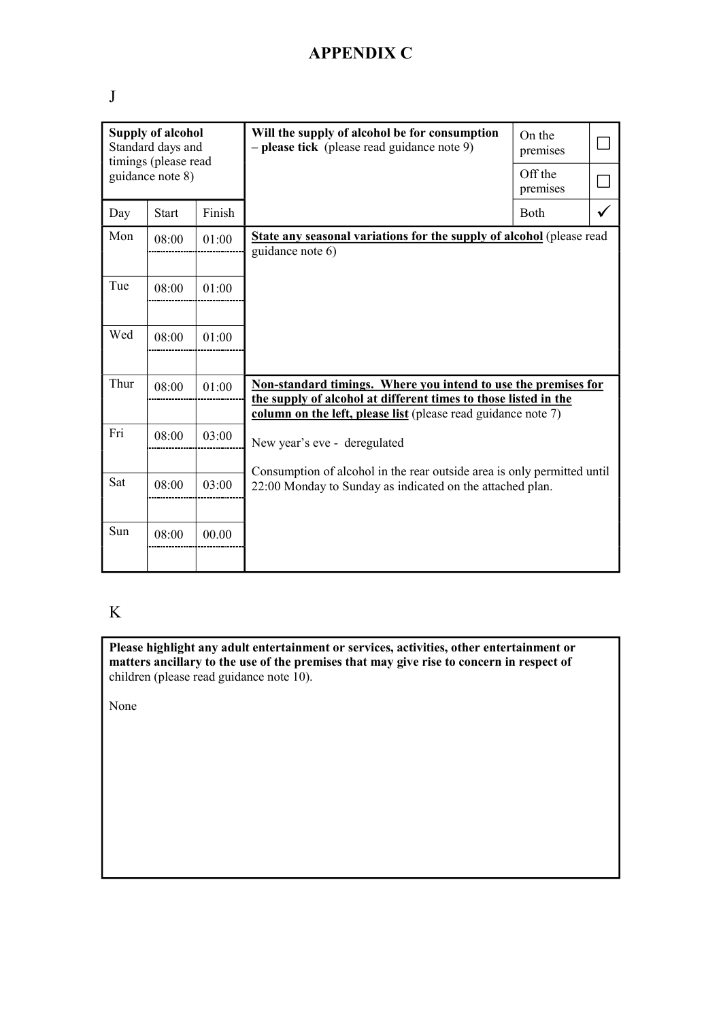| × | ۰. | ٢<br>I |  |
|---|----|--------|--|

| <b>Supply of alcohol</b><br>Standard days and<br>timings (please read |                  |        | Will the supply of alcohol be for consumption<br>- please tick (please read guidance note 9)                                                                                                       | On the<br>premises  |  |
|-----------------------------------------------------------------------|------------------|--------|----------------------------------------------------------------------------------------------------------------------------------------------------------------------------------------------------|---------------------|--|
|                                                                       | guidance note 8) |        |                                                                                                                                                                                                    | Off the<br>premises |  |
| Day                                                                   | <b>Start</b>     | Finish |                                                                                                                                                                                                    | Both                |  |
| Mon                                                                   | 08:00            | 01:00  | <b>State any seasonal variations for the supply of alcohol</b> (please read<br>guidance note 6)                                                                                                    |                     |  |
| Tue                                                                   | 08:00            | 01:00  |                                                                                                                                                                                                    |                     |  |
| Wed                                                                   | 08:00            | 01:00  |                                                                                                                                                                                                    |                     |  |
| Thur                                                                  | 08:00            | 01:00  | Non-standard timings. Where you intend to use the premises for<br>the supply of alcohol at different times to those listed in the<br>column on the left, please list (please read guidance note 7) |                     |  |
| Fri                                                                   | 08:00            | 03:00  | New year's eve - deregulated                                                                                                                                                                       |                     |  |
| Sat                                                                   | 08:00            | 03:00  | Consumption of alcohol in the rear outside area is only permitted until<br>22:00 Monday to Sunday as indicated on the attached plan.                                                               |                     |  |
| Sun                                                                   | 08:00            | 00.00  |                                                                                                                                                                                                    |                     |  |

### K

**Please highlight any adult entertainment or services, activities, other entertainment or matters ancillary to the use of the premises that may give rise to concern in respect of** children (please read guidance note 10).

None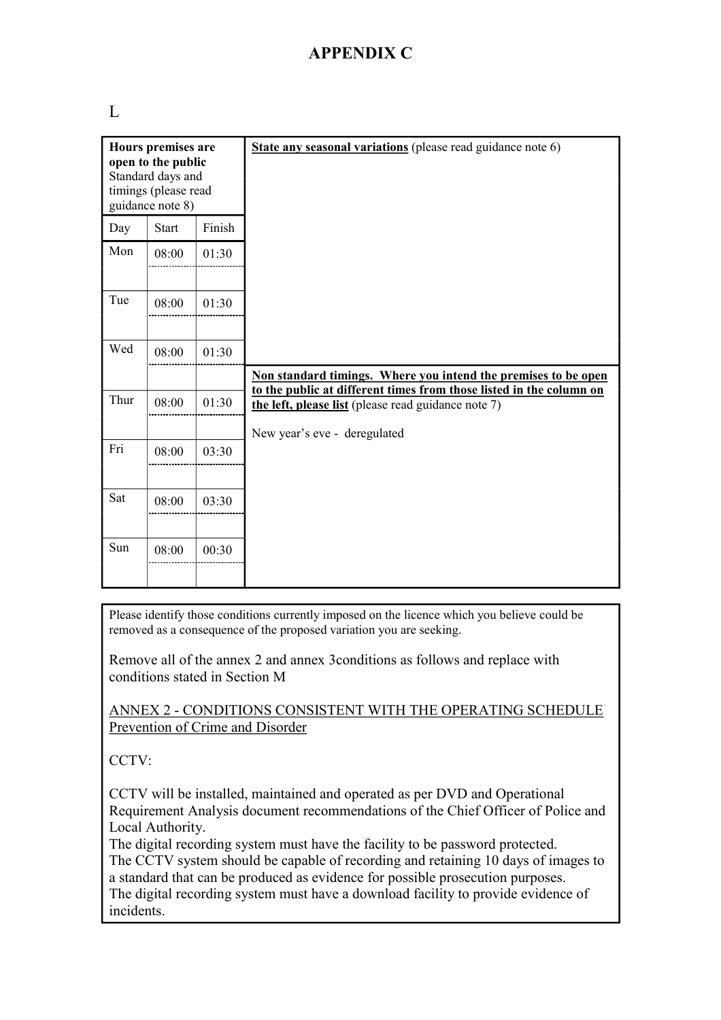L

|      | Hours premises are<br>open to the public<br>Standard days and<br>timings (please read<br>guidance note 8) |        | State any seasonal variations (please read guidance note 6)                                                                           |
|------|-----------------------------------------------------------------------------------------------------------|--------|---------------------------------------------------------------------------------------------------------------------------------------|
| Day  | <b>Start</b>                                                                                              | Finish |                                                                                                                                       |
| Mon  | 08:00                                                                                                     | 01:30  |                                                                                                                                       |
| Tue  | 08:00                                                                                                     | 01:30  |                                                                                                                                       |
| Wed  | 08:00                                                                                                     | 01:30  |                                                                                                                                       |
|      |                                                                                                           |        | Non standard timings. Where you intend the premises to be open<br>to the public at different times from those listed in the column on |
| Thur | 08:00                                                                                                     | 01:30  | the left, please list (please read guidance note 7)                                                                                   |
|      |                                                                                                           |        | New year's eve - deregulated                                                                                                          |
| Fri  | 08:00                                                                                                     | 03:30  |                                                                                                                                       |
| Sat  | 08:00                                                                                                     | 03:30  |                                                                                                                                       |
| Sun  | 08:00                                                                                                     | 00:30  |                                                                                                                                       |

Please identify those conditions currently imposed on the licence which you believe could be removed as a consequence of the proposed variation you are seeking.

Remove all of the annex 2 and annex 3conditions as follows and replace with conditions stated in Section M

#### ANNEX 2 - CONDITIONS CONSISTENT WITH THE OPERATING SCHEDULE Prevention of Crime and Disorder

CCTV:

CCTV will be installed, maintained and operated as per DVD and Operational Requirement Analysis document recommendations of the Chief Officer of Police and Local Authority.

The digital recording system must have the facility to be password protected. The CCTV system should be capable of recording and retaining 10 days of images to a standard that can be produced as evidence for possible prosecution purposes. The digital recording system must have a download facility to provide evidence of incidents.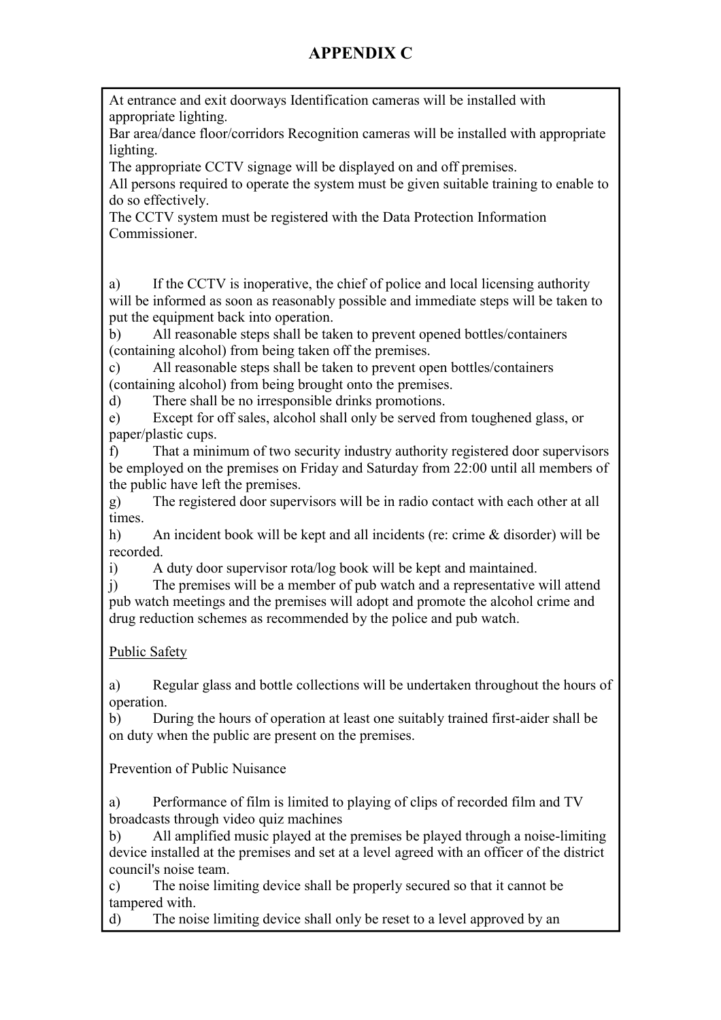At entrance and exit doorways Identification cameras will be installed with appropriate lighting.

Bar area/dance floor/corridors Recognition cameras will be installed with appropriate lighting.

The appropriate CCTV signage will be displayed on and off premises.

All persons required to operate the system must be given suitable training to enable to do so effectively.

The CCTV system must be registered with the Data Protection Information Commissioner.

a) If the CCTV is inoperative, the chief of police and local licensing authority will be informed as soon as reasonably possible and immediate steps will be taken to put the equipment back into operation.

b) All reasonable steps shall be taken to prevent opened bottles/containers (containing alcohol) from being taken off the premises.

c) All reasonable steps shall be taken to prevent open bottles/containers (containing alcohol) from being brought onto the premises.

d) There shall be no irresponsible drinks promotions.

e) Except for off sales, alcohol shall only be served from toughened glass, or paper/plastic cups.

f) That a minimum of two security industry authority registered door supervisors be employed on the premises on Friday and Saturday from 22:00 until all members of the public have left the premises.

g) The registered door supervisors will be in radio contact with each other at all times.

h) An incident book will be kept and all incidents (re: crime & disorder) will be recorded.

i) A duty door supervisor rota/log book will be kept and maintained.

j) The premises will be a member of pub watch and a representative will attend pub watch meetings and the premises will adopt and promote the alcohol crime and drug reduction schemes as recommended by the police and pub watch.

### Public Safety

a) Regular glass and bottle collections will be undertaken throughout the hours of operation.

b) During the hours of operation at least one suitably trained first-aider shall be on duty when the public are present on the premises.

Prevention of Public Nuisance

a) Performance of film is limited to playing of clips of recorded film and TV broadcasts through video quiz machines

b) All amplified music played at the premises be played through a noise-limiting device installed at the premises and set at a level agreed with an officer of the district council's noise team.

c) The noise limiting device shall be properly secured so that it cannot be tampered with.

d) The noise limiting device shall only be reset to a level approved by an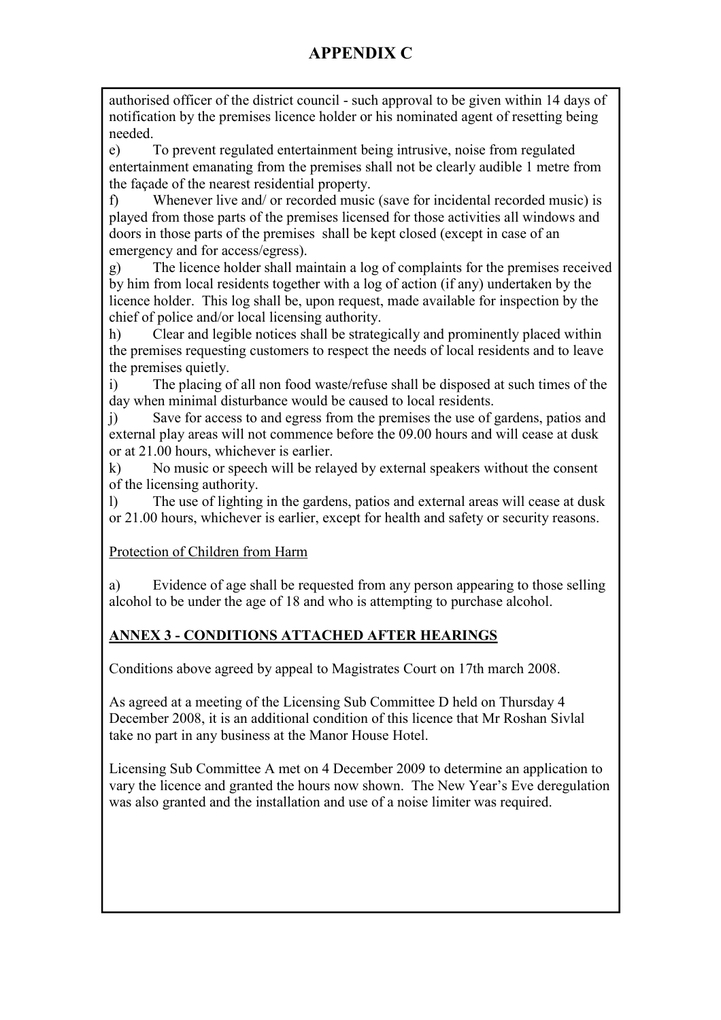authorised officer of the district council - such approval to be given within 14 days of notification by the premises licence holder or his nominated agent of resetting being needed.

e) To prevent regulated entertainment being intrusive, noise from regulated entertainment emanating from the premises shall not be clearly audible 1 metre from the façade of the nearest residential property.

f) Whenever live and/ or recorded music (save for incidental recorded music) is played from those parts of the premises licensed for those activities all windows and doors in those parts of the premises shall be kept closed (except in case of an emergency and for access/egress).

g) The licence holder shall maintain a log of complaints for the premises received by him from local residents together with a log of action (if any) undertaken by the licence holder. This log shall be, upon request, made available for inspection by the chief of police and/or local licensing authority.

h) Clear and legible notices shall be strategically and prominently placed within the premises requesting customers to respect the needs of local residents and to leave the premises quietly.

i) The placing of all non food waste/refuse shall be disposed at such times of the day when minimal disturbance would be caused to local residents.

j) Save for access to and egress from the premises the use of gardens, patios and external play areas will not commence before the 09.00 hours and will cease at dusk or at 21.00 hours, whichever is earlier.

k) No music or speech will be relayed by external speakers without the consent of the licensing authority.

l) The use of lighting in the gardens, patios and external areas will cease at dusk or 21.00 hours, whichever is earlier, except for health and safety or security reasons.

#### Protection of Children from Harm

a) Evidence of age shall be requested from any person appearing to those selling alcohol to be under the age of 18 and who is attempting to purchase alcohol.

### **ANNEX 3 - CONDITIONS ATTACHED AFTER HEARINGS**

Conditions above agreed by appeal to Magistrates Court on 17th march 2008.

As agreed at a meeting of the Licensing Sub Committee D held on Thursday 4 December 2008, it is an additional condition of this licence that Mr Roshan Sivlal take no part in any business at the Manor House Hotel.

Licensing Sub Committee A met on 4 December 2009 to determine an application to vary the licence and granted the hours now shown. The New Year's Eve deregulation was also granted and the installation and use of a noise limiter was required.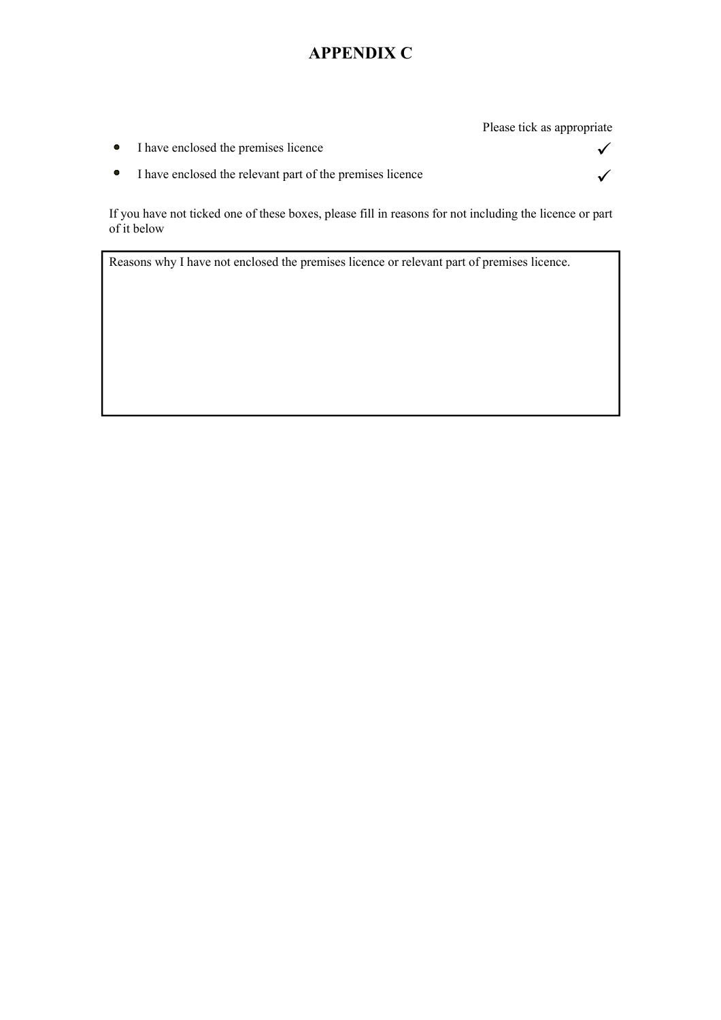Please tick as appropriate

- $\bullet$ I have enclosed the premises licence  $\checkmark$
- I have enclosed the relevant part of the premises licence  $\checkmark$  $\bullet$

If you have not ticked one of these boxes, please fill in reasons for not including the licence or part of it below

Reasons why I have not enclosed the premises licence or relevant part of premises licence.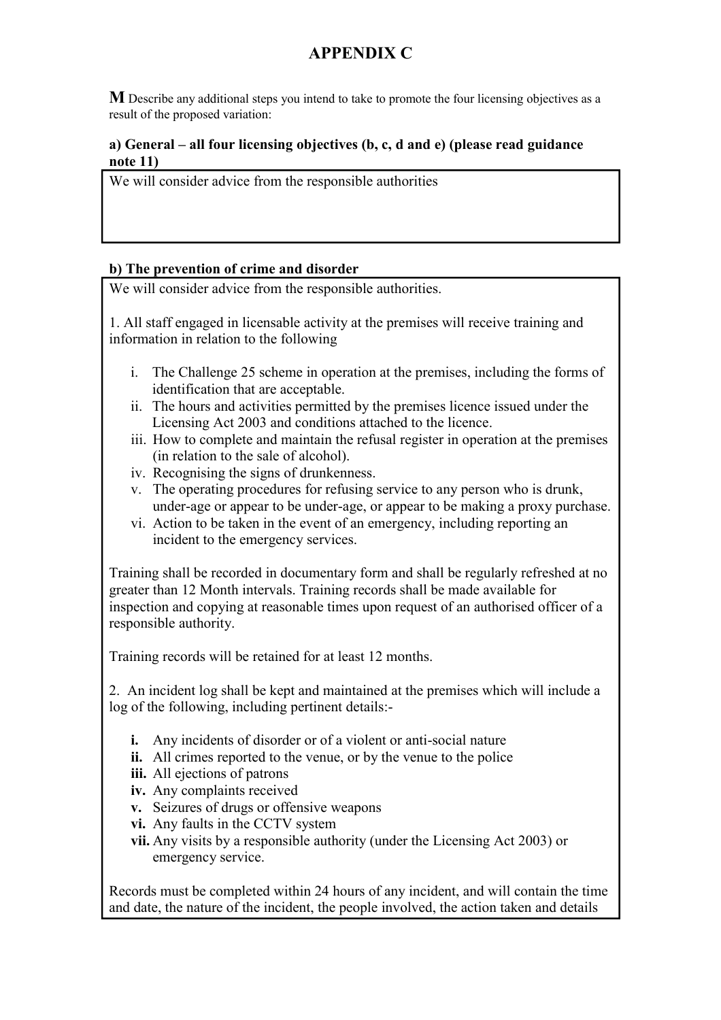**M** Describe any additional steps you intend to take to promote the four licensing objectives as a result of the proposed variation:

#### **a) General – all four licensing objectives (b, c, d and e) (please read guidance note 11)**

We will consider advice from the responsible authorities

#### **b) The prevention of crime and disorder**

We will consider advice from the responsible authorities.

1. All staff engaged in licensable activity at the premises will receive training and information in relation to the following

- i. The Challenge 25 scheme in operation at the premises, including the forms of identification that are acceptable.
- ii. The hours and activities permitted by the premises licence issued under the Licensing Act 2003 and conditions attached to the licence.
- iii. How to complete and maintain the refusal register in operation at the premises (in relation to the sale of alcohol).
- iv. Recognising the signs of drunkenness.
- v. The operating procedures for refusing service to any person who is drunk, under-age or appear to be under-age, or appear to be making a proxy purchase.
- vi. Action to be taken in the event of an emergency, including reporting an incident to the emergency services.

Training shall be recorded in documentary form and shall be regularly refreshed at no greater than 12 Month intervals. Training records shall be made available for inspection and copying at reasonable times upon request of an authorised officer of a responsible authority.

Training records will be retained for at least 12 months.

2. An incident log shall be kept and maintained at the premises which will include a log of the following, including pertinent details:-

- **i.** Any incidents of disorder or of a violent or anti-social nature
- **ii.** All crimes reported to the venue, or by the venue to the police
- **iii.** All ejections of patrons
- **iv.** Any complaints received
- **v.** Seizures of drugs or offensive weapons
- **vi.** Any faults in the CCTV system
- **vii.** Any visits by a responsible authority (under the Licensing Act 2003) or emergency service.

Records must be completed within 24 hours of any incident, and will contain the time and date, the nature of the incident, the people involved, the action taken and details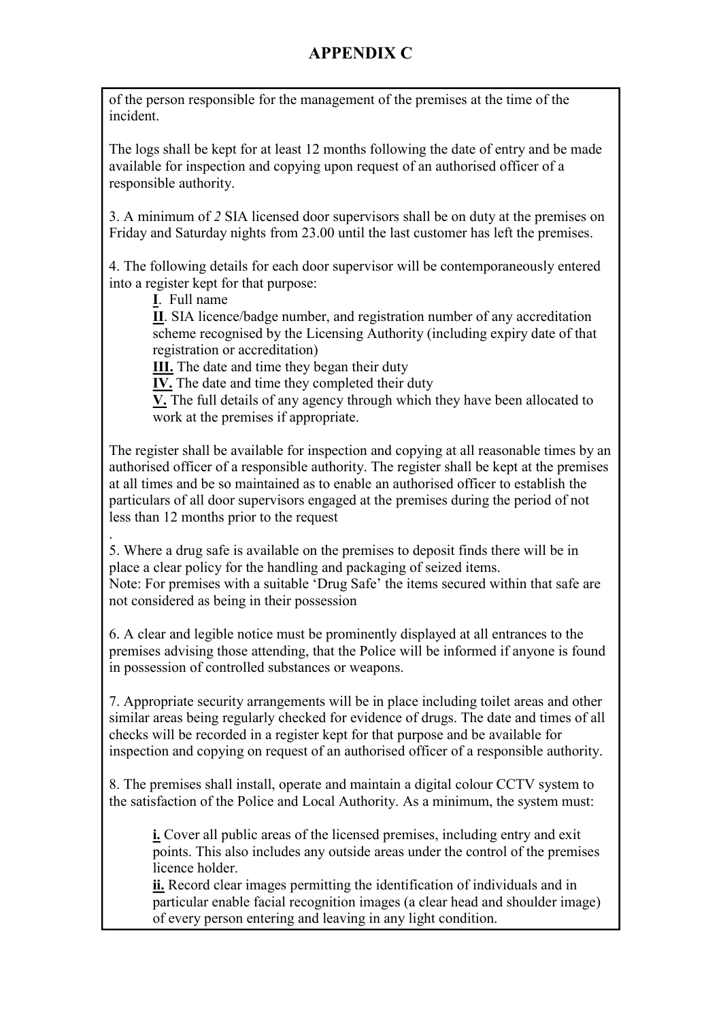of the person responsible for the management of the premises at the time of the incident.

The logs shall be kept for at least 12 months following the date of entry and be made available for inspection and copying upon request of an authorised officer of a responsible authority.

3. A minimum of *2* SIA licensed door supervisors shall be on duty at the premises on Friday and Saturday nights from 23.00 until the last customer has left the premises.

4. The following details for each door supervisor will be contemporaneously entered into a register kept for that purpose:

**I**. Full name

**II**. SIA licence/badge number, and registration number of any accreditation scheme recognised by the Licensing Authority (including expiry date of that registration or accreditation)

**III.** The date and time they began their duty

**IV.** The date and time they completed their duty

**V.** The full details of any agency through which they have been allocated to work at the premises if appropriate.

The register shall be available for inspection and copying at all reasonable times by an authorised officer of a responsible authority. The register shall be kept at the premises at all times and be so maintained as to enable an authorised officer to establish the particulars of all door supervisors engaged at the premises during the period of not less than 12 months prior to the request

. 5. Where a drug safe is available on the premises to deposit finds there will be in place a clear policy for the handling and packaging of seized items. Note: For premises with a suitable 'Drug Safe' the items secured within that safe are not considered as being in their possession

6. A clear and legible notice must be prominently displayed at all entrances to the premises advising those attending, that the Police will be informed if anyone is found in possession of controlled substances or weapons.

7. Appropriate security arrangements will be in place including toilet areas and other similar areas being regularly checked for evidence of drugs. The date and times of all checks will be recorded in a register kept for that purpose and be available for inspection and copying on request of an authorised officer of a responsible authority.

8. The premises shall install, operate and maintain a digital colour CCTV system to the satisfaction of the Police and Local Authority. As a minimum, the system must:

**i.** Cover all public areas of the licensed premises, including entry and exit points. This also includes any outside areas under the control of the premises licence holder.

**ii.** Record clear images permitting the identification of individuals and in particular enable facial recognition images (a clear head and shoulder image) of every person entering and leaving in any light condition.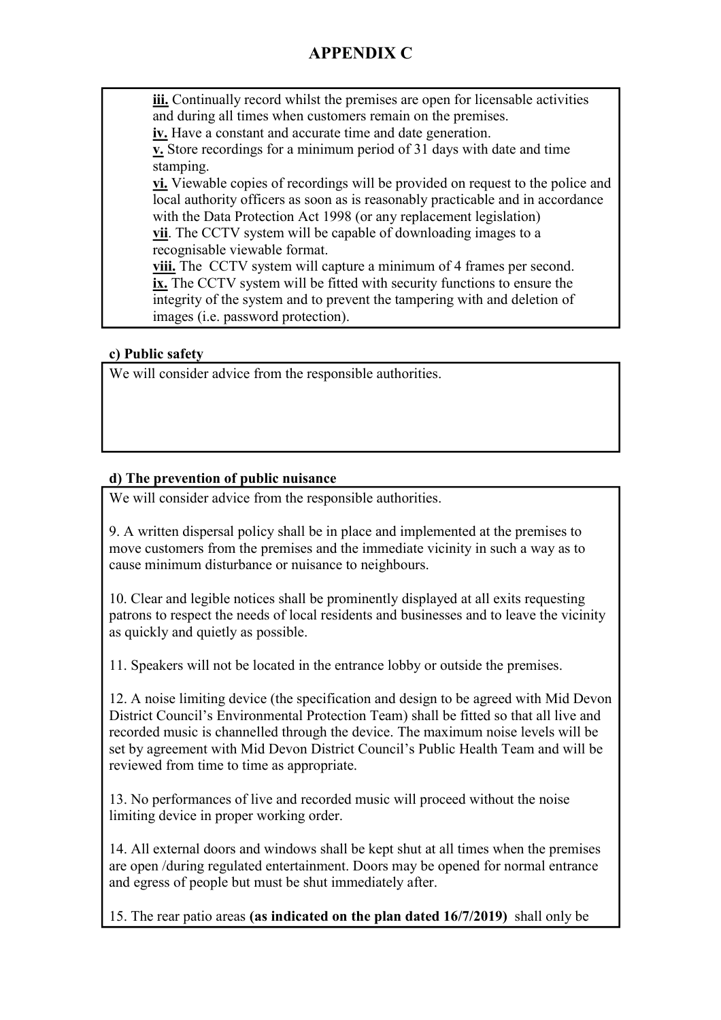**iii.** Continually record whilst the premises are open for licensable activities and during all times when customers remain on the premises.

**iv.** Have a constant and accurate time and date generation.

**v.** Store recordings for a minimum period of 31 days with date and time stamping.

**vi.** Viewable copies of recordings will be provided on request to the police and local authority officers as soon as is reasonably practicable and in accordance with the Data Protection Act 1998 (or any replacement legislation) **vii**. The CCTV system will be capable of downloading images to a

recognisable viewable format.

**viii.** The CCTV system will capture a minimum of 4 frames per second. **ix.** The CCTV system will be fitted with security functions to ensure the integrity of the system and to prevent the tampering with and deletion of images (i.e. password protection).

#### **c) Public safety**

We will consider advice from the responsible authorities.

### **d) The prevention of public nuisance**

We will consider advice from the responsible authorities.

9. A written dispersal policy shall be in place and implemented at the premises to move customers from the premises and the immediate vicinity in such a way as to cause minimum disturbance or nuisance to neighbours.

10. Clear and legible notices shall be prominently displayed at all exits requesting patrons to respect the needs of local residents and businesses and to leave the vicinity as quickly and quietly as possible.

11. Speakers will not be located in the entrance lobby or outside the premises.

12. A noise limiting device (the specification and design to be agreed with Mid Devon District Council's Environmental Protection Team) shall be fitted so that all live and recorded music is channelled through the device. The maximum noise levels will be set by agreement with Mid Devon District Council's Public Health Team and will be reviewed from time to time as appropriate.

13. No performances of live and recorded music will proceed without the noise limiting device in proper working order.

14. All external doors and windows shall be kept shut at all times when the premises are open /during regulated entertainment. Doors may be opened for normal entrance and egress of people but must be shut immediately after.

15. The rear patio areas **(as indicated on the plan dated 16/7/2019)** shall only be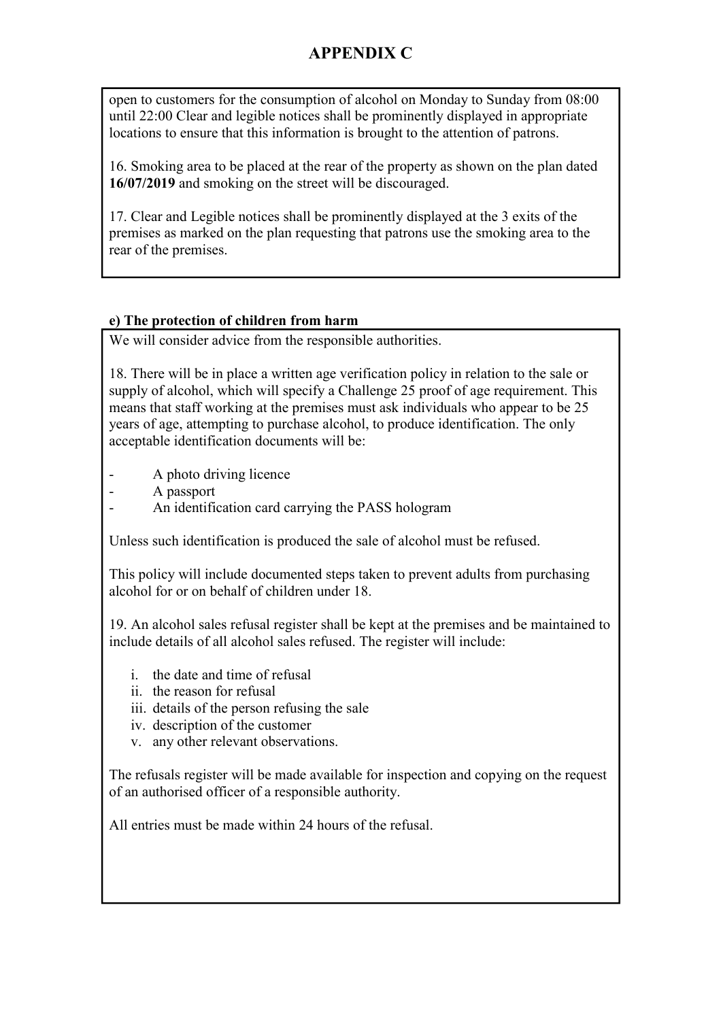open to customers for the consumption of alcohol on Monday to Sunday from 08:00 until 22:00 Clear and legible notices shall be prominently displayed in appropriate locations to ensure that this information is brought to the attention of patrons.

16. Smoking area to be placed at the rear of the property as shown on the plan dated **16/07/2019** and smoking on the street will be discouraged.

17. Clear and Legible notices shall be prominently displayed at the 3 exits of the premises as marked on the plan requesting that patrons use the smoking area to the rear of the premises.

#### **e) The protection of children from harm**

We will consider advice from the responsible authorities.

18. There will be in place a written age verification policy in relation to the sale or supply of alcohol, which will specify a Challenge 25 proof of age requirement. This means that staff working at the premises must ask individuals who appear to be 25 years of age, attempting to purchase alcohol, to produce identification. The only acceptable identification documents will be:

A photo driving licence

- A passport
- An identification card carrying the PASS hologram

Unless such identification is produced the sale of alcohol must be refused.

This policy will include documented steps taken to prevent adults from purchasing alcohol for or on behalf of children under 18.

19. An alcohol sales refusal register shall be kept at the premises and be maintained to include details of all alcohol sales refused. The register will include:

- i. the date and time of refusal
- ii. the reason for refusal
- iii. details of the person refusing the sale
- iv. description of the customer
- v. any other relevant observations.

The refusals register will be made available for inspection and copying on the request of an authorised officer of a responsible authority.

All entries must be made within 24 hours of the refusal.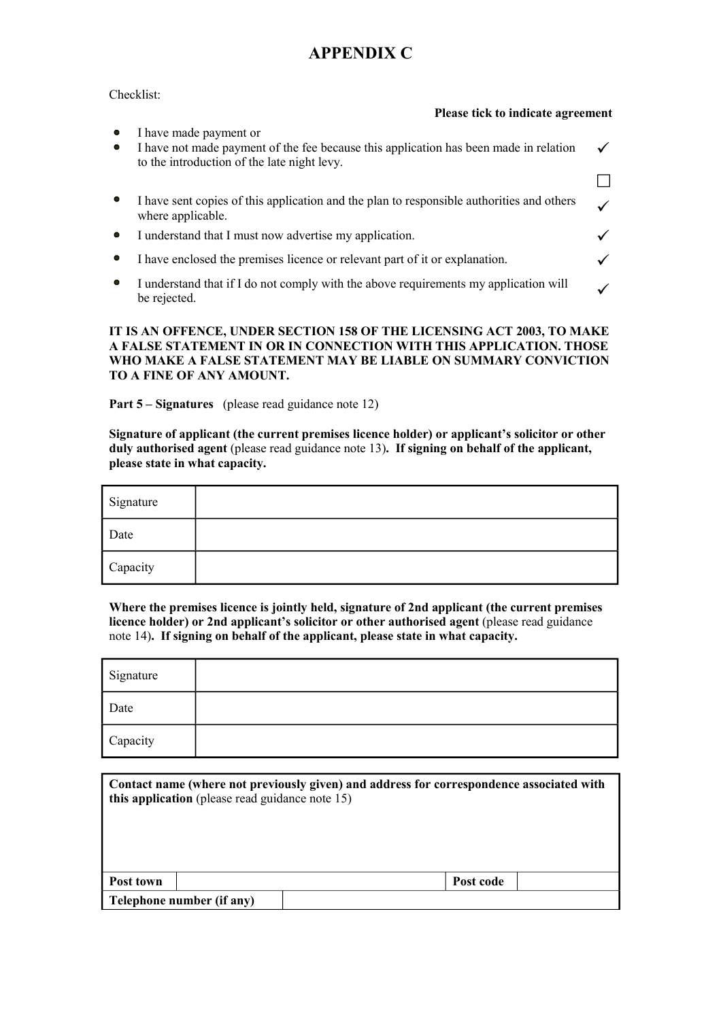#### Checklist:

|                        | Please tick to indicate agreement                                                                                                                              |  |
|------------------------|----------------------------------------------------------------------------------------------------------------------------------------------------------------|--|
| $\bullet$<br>$\bullet$ | I have made payment or<br>I have not made payment of the fee because this application has been made in relation<br>to the introduction of the late night levy. |  |
|                        |                                                                                                                                                                |  |
|                        | I have sent copies of this application and the plan to responsible authorities and others<br>where applicable.                                                 |  |
|                        | I understand that I must now advertise my application.                                                                                                         |  |
|                        | I have enclosed the premises licence or relevant part of it or explanation.                                                                                    |  |
| $\bullet$              | I understand that if I do not comply with the above requirements my application will<br>be rejected.                                                           |  |
|                        |                                                                                                                                                                |  |

#### **IT IS AN OFFENCE, UNDER SECTION 158 OF THE LICENSING ACT 2003, TO MAKE A FALSE STATEMENT IN OR IN CONNECTION WITH THIS APPLICATION. THOSE WHO MAKE A FALSE STATEMENT MAY BE LIABLE ON SUMMARY CONVICTION TO A FINE OF ANY AMOUNT.**

**Part 5 – Signatures** (please read guidance note 12)

**Signature of applicant (the current premises licence holder) or applicant's solicitor or other duly authorised agent** (please read guidance note 13)**. If signing on behalf of the applicant, please state in what capacity.**

| Signature |  |
|-----------|--|
| Date      |  |
| Capacity  |  |

**Where the premises licence is jointly held, signature of 2nd applicant (the current premises licence holder) or 2nd applicant's solicitor or other authorised agent** (please read guidance note 14)**. If signing on behalf of the applicant, please state in what capacity.**

| Signature |  |
|-----------|--|
| Date      |  |
| Capacity  |  |

|                           | Contact name (where not previously given) and address for correspondence associated with<br>this application (please read guidance note 15) |  |  |  |
|---------------------------|---------------------------------------------------------------------------------------------------------------------------------------------|--|--|--|
| Post town                 | Post code                                                                                                                                   |  |  |  |
| Telephone number (if any) |                                                                                                                                             |  |  |  |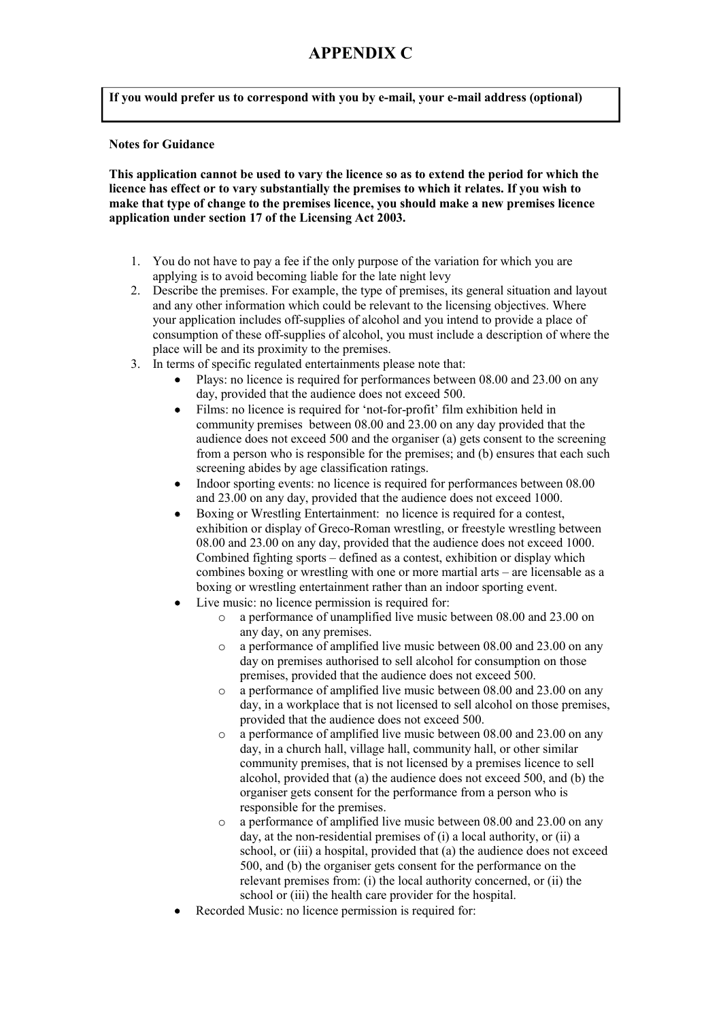**If you would prefer us to correspond with you by e-mail, your e-mail address (optional)**

#### **Notes for Guidance**

**This application cannot be used to vary the licence so as to extend the period for which the licence has effect or to vary substantially the premises to which it relates. If you wish to make that type of change to the premises licence, you should make a new premises licence application under section 17 of the Licensing Act 2003.**

- 1. You do not have to pay a fee if the only purpose of the variation for which you are applying is to avoid becoming liable for the late night levy
- 2. Describe the premises. For example, the type of premises, its general situation and layout and any other information which could be relevant to the licensing objectives. Where your application includes off-supplies of alcohol and you intend to provide a place of consumption of these off-supplies of alcohol, you must include a description of where the place will be and its proximity to the premises.
- 3. In terms of specific regulated entertainments please note that:
	- Plays: no licence is required for performances between 08.00 and 23.00 on any day, provided that the audience does not exceed 500.
	- Films: no licence is required for 'not-for-profit' film exhibition held in community premises between 08.00 and 23.00 on any day provided that the audience does not exceed 500 and the organiser (a) gets consent to the screening from a person who is responsible for the premises; and (b) ensures that each such screening abides by age classification ratings.
	- Indoor sporting events: no licence is required for performances between 08.00 and 23.00 on any day, provided that the audience does not exceed 1000.
	- Boxing or Wrestling Entertainment: no licence is required for a contest. exhibition or display of Greco-Roman wrestling, or freestyle wrestling between 08.00 and 23.00 on any day, provided that the audience does not exceed 1000. Combined fighting sports – defined as a contest, exhibition or display which combines boxing or wrestling with one or more martial arts – are licensable as a boxing or wrestling entertainment rather than an indoor sporting event.
	- Live music: no licence permission is required for:
		- o a performance of unamplified live music between 08.00 and 23.00 on any day, on any premises.
		- $\circ$  a performance of amplified live music between 08.00 and 23.00 on any day on premises authorised to sell alcohol for consumption on those premises, provided that the audience does not exceed 500.
		- o a performance of amplified live music between 08.00 and 23.00 on any day, in a workplace that is not licensed to sell alcohol on those premises, provided that the audience does not exceed 500.
		- o a performance of amplified live music between 08.00 and 23.00 on any day, in a church hall, village hall, community hall, or other similar community premises, that is not licensed by a premises licence to sell alcohol, provided that (a) the audience does not exceed 500, and (b) the organiser gets consent for the performance from a person who is responsible for the premises.
		- o a performance of amplified live music between 08.00 and 23.00 on any day, at the non-residential premises of (i) a local authority, or (ii) a school, or (iii) a hospital, provided that (a) the audience does not exceed 500, and (b) the organiser gets consent for the performance on the relevant premises from: (i) the local authority concerned, or (ii) the school or (iii) the health care provider for the hospital.
	- Recorded Music: no licence permission is required for: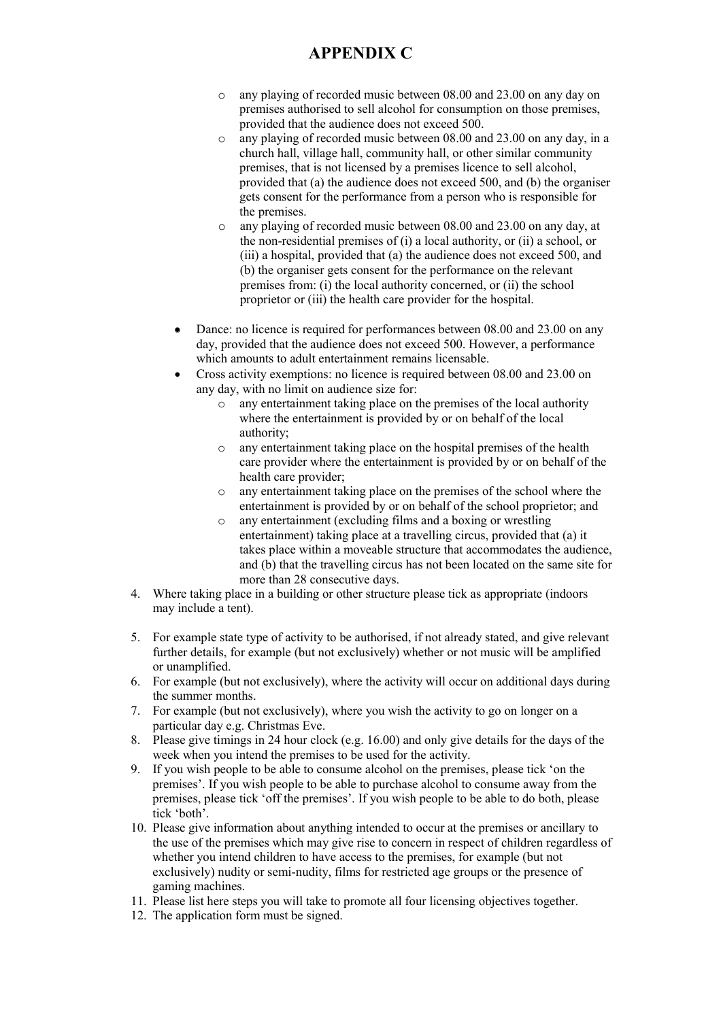- o any playing of recorded music between 08.00 and 23.00 on any day on premises authorised to sell alcohol for consumption on those premises, provided that the audience does not exceed 500.
- o any playing of recorded music between 08.00 and 23.00 on any day, in a church hall, village hall, community hall, or other similar community premises, that is not licensed by a premises licence to sell alcohol, provided that (a) the audience does not exceed 500, and (b) the organiser gets consent for the performance from a person who is responsible for the premises.
- o any playing of recorded music between 08.00 and 23.00 on any day, at the non-residential premises of (i) a local authority, or (ii) a school, or (iii) a hospital, provided that (a) the audience does not exceed 500, and (b) the organiser gets consent for the performance on the relevant premises from: (i) the local authority concerned, or (ii) the school proprietor or (iii) the health care provider for the hospital.
- Dance: no licence is required for performances between 08.00 and 23.00 on any day, provided that the audience does not exceed 500. However, a performance which amounts to adult entertainment remains licensable.
- Cross activity exemptions: no licence is required between 08.00 and 23.00 on any day, with no limit on audience size for:
	- o any entertainment taking place on the premises of the local authority where the entertainment is provided by or on behalf of the local authority;
	- o any entertainment taking place on the hospital premises of the health care provider where the entertainment is provided by or on behalf of the health care provider;
	- o any entertainment taking place on the premises of the school where the entertainment is provided by or on behalf of the school proprietor; and
	- o any entertainment (excluding films and a boxing or wrestling entertainment) taking place at a travelling circus, provided that (a) it takes place within a moveable structure that accommodates the audience, and (b) that the travelling circus has not been located on the same site for more than 28 consecutive days.
- 4. Where taking place in a building or other structure please tick as appropriate (indoors may include a tent).
- 5. For example state type of activity to be authorised, if not already stated, and give relevant further details, for example (but not exclusively) whether or not music will be amplified or unamplified.
- 6. For example (but not exclusively), where the activity will occur on additional days during the summer months.
- 7. For example (but not exclusively), where you wish the activity to go on longer on a particular day e.g. Christmas Eve.
- 8. Please give timings in 24 hour clock (e.g. 16.00) and only give details for the days of the week when you intend the premises to be used for the activity.
- 9. If you wish people to be able to consume alcohol on the premises, please tick 'on the premises'. If you wish people to be able to purchase alcohol to consume away from the premises, please tick 'off the premises'. If you wish people to be able to do both, please tick 'both'.
- 10. Please give information about anything intended to occur at the premises or ancillary to the use of the premises which may give rise to concern in respect of children regardless of whether you intend children to have access to the premises, for example (but not exclusively) nudity or semi-nudity, films for restricted age groups or the presence of gaming machines.
- 11. Please list here steps you will take to promote all four licensing objectives together.
- 12. The application form must be signed.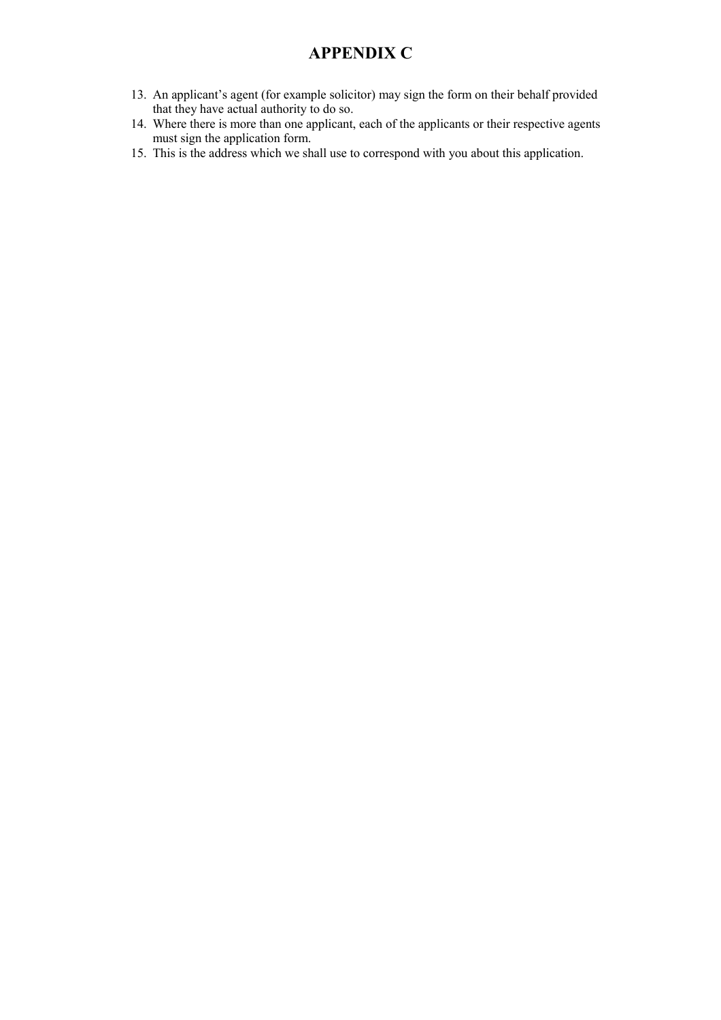- 13. An applicant's agent (for example solicitor) may sign the form on their behalf provided that they have actual authority to do so.
- 14. Where there is more than one applicant, each of the applicants or their respective agents must sign the application form.
- 15. This is the address which we shall use to correspond with you about this application.